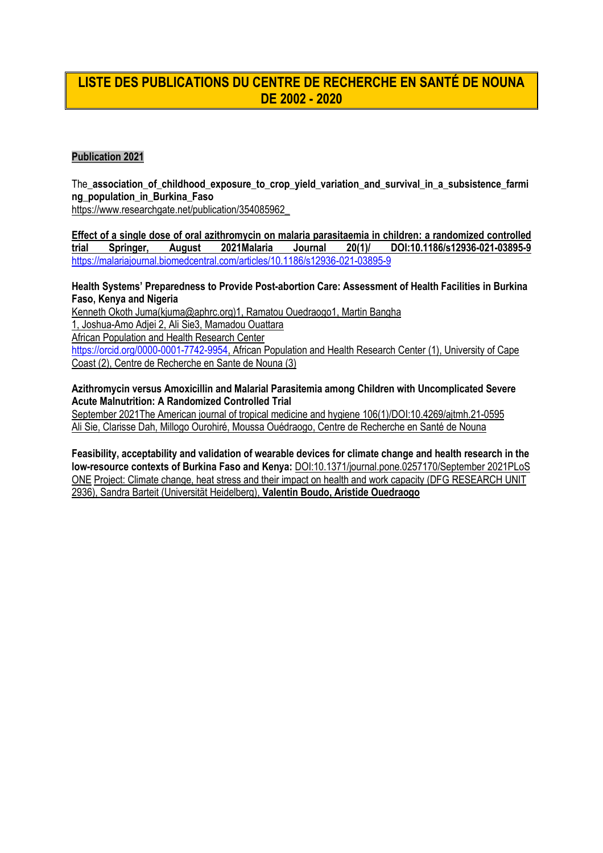# **LISTE DES PUBLICATIONS DU CENTRE DE RECHERCHE EN SANTÉ DE NOUNA DE 2002 - 2020**

### **Publication 2021**

The association of childhood exposure to crop yield variation and survival in a subsistence farmi **ng\_population\_in\_Burkina\_Faso**

https://www.researchgate.net/publication/354085962\_

**Effect of a single dose of oral azithromycin on malaria parasitaemia in children: a randomized controlled trial Springer, August 2021Malaria Journal 20(1)/ DOI:10.1186/s12936-021-03895-9** <https://malariajournal.biomedcentral.com/articles/10.1186/s12936-021-03895-9>

**Health Systems' Preparedness to Provide Post-abortion Care: Assessment of Health Facilities in Burkina Faso, Kenya and Nigeria**

Kenneth Okoth Juma(kjuma@aphrc.org)1, Ramatou Ouedraogo1, Martin Bangha

1, Joshua-Amo Adjei 2, Ali Sie3, Mamadou Ouattara

African Population and Health Research Center

[https://orcid.org/0000-0001-7742-9954,](https://orcid.org/0000-0001-7742-9954) African Population and Health Research Center (1), University of Cape Coast (2), Centre de Recherche en Sante de Nouna (3)

**Azithromycin versus Amoxicillin and Malarial Parasitemia among Children with Uncomplicated Severe Acute Malnutrition: A Randomized Controlled Trial**

September 2021The American journal of tropical medicine and hygiene 106(1)/DOI:10.4269/ajtmh.21-0595 Ali Sie, Clarisse Dah, Millogo Ourohiré, Moussa Ouédraogo, Centre de Recherche en Santé de Nouna

**Feasibility, acceptability and validation of wearable devices for climate change and health research in the low-resource contexts of Burkina Faso and Kenya:** DOI:10.1371/journal.pone.0257170/September 2021PLoS ONE Project: Climate change, heat stress and their impact on health and work capacity (DFG RESEARCH UNIT 2936), Sandra Barteit (Universität Heidelberg), **Valentin Boudo, Aristide Ouedraogo**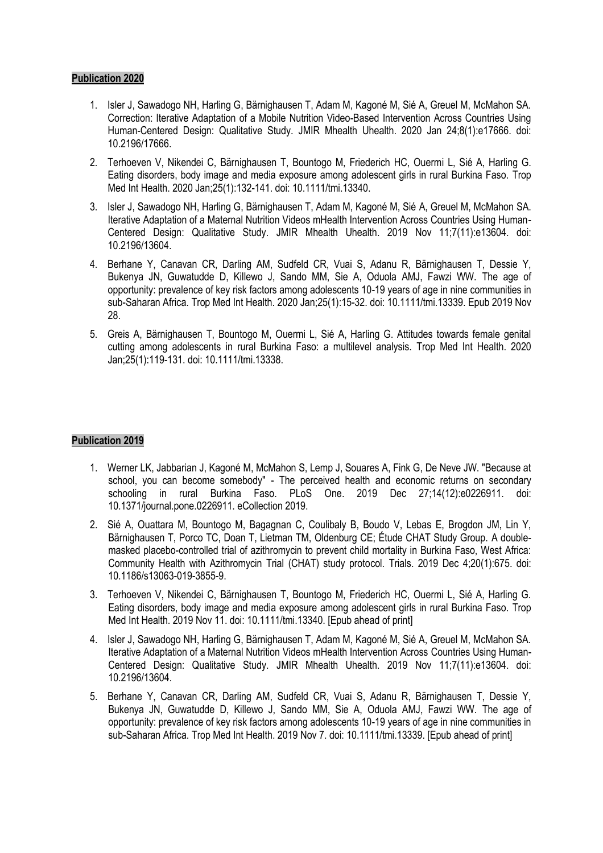- 1. Isler J, Sawadogo NH, Harling G, Bärnighausen T, Adam M, Kagoné M, Sié A, Greuel M, McMahon SA. Correction: Iterative Adaptation of a Mobile Nutrition Video-Based Intervention Across Countries Using Human-Centered Design: Qualitative Study. JMIR Mhealth Uhealth. 2020 Jan 24;8(1):e17666. doi: 10.2196/17666.
- 2. Terhoeven V, Nikendei C, Bärnighausen T, Bountogo M, Friederich HC, Ouermi L, Sié A, Harling G. Eating disorders, body image and media exposure among adolescent girls in rural Burkina Faso. Trop Med Int Health. 2020 Jan;25(1):132-141. doi: 10.1111/tmi.13340.
- 3. Isler J, Sawadogo NH, Harling G, Bärnighausen T, Adam M, Kagoné M, Sié A, Greuel M, McMahon SA. Iterative Adaptation of a Maternal Nutrition Videos mHealth Intervention Across Countries Using Human-Centered Design: Qualitative Study. JMIR Mhealth Uhealth. 2019 Nov 11;7(11):e13604. doi: 10.2196/13604.
- 4. Berhane Y, Canavan CR, Darling AM, Sudfeld CR, Vuai S, Adanu R, Bärnighausen T, Dessie Y, Bukenya JN, Guwatudde D, Killewo J, Sando MM, Sie A, Oduola AMJ, Fawzi WW. The age of opportunity: prevalence of key risk factors among adolescents 10-19 years of age in nine communities in sub-Saharan Africa. Trop Med Int Health. 2020 Jan;25(1):15-32. doi: 10.1111/tmi.13339. Epub 2019 Nov 28.
- 5. Greis A, Bärnighausen T, Bountogo M, Ouermi L, Sié A, Harling G. Attitudes towards female genital cutting among adolescents in rural Burkina Faso: a multilevel analysis. Trop Med Int Health. 2020 Jan;25(1):119-131. doi: 10.1111/tmi.13338.

- 1. Werner LK, Jabbarian J, Kagoné M, McMahon S, Lemp J, Souares A, Fink G, De Neve JW. "Because at school, you can become somebody" - The perceived health and economic returns on secondary schooling in rural Burkina Faso. PLoS One. 2019 Dec 27;14(12):e0226911. doi: 10.1371/journal.pone.0226911. eCollection 2019.
- 2. Sié A, Ouattara M, Bountogo M, Bagagnan C, Coulibaly B, Boudo V, Lebas E, Brogdon JM, Lin Y, Bärnighausen T, Porco TC, Doan T, Lietman TM, Oldenburg CE; Étude CHAT Study Group. A doublemasked placebo-controlled trial of azithromycin to prevent child mortality in Burkina Faso, West Africa: Community Health with Azithromycin Trial (CHAT) study protocol. Trials. 2019 Dec 4;20(1):675. doi: 10.1186/s13063-019-3855-9.
- 3. Terhoeven V, Nikendei C, Bärnighausen T, Bountogo M, Friederich HC, Ouermi L, Sié A, Harling G. Eating disorders, body image and media exposure among adolescent girls in rural Burkina Faso. Trop Med Int Health. 2019 Nov 11. doi: 10.1111/tmi.13340. [Epub ahead of print]
- 4. Isler J, Sawadogo NH, Harling G, Bärnighausen T, Adam M, Kagoné M, Sié A, Greuel M, McMahon SA. Iterative Adaptation of a Maternal Nutrition Videos mHealth Intervention Across Countries Using Human-Centered Design: Qualitative Study. JMIR Mhealth Uhealth. 2019 Nov 11;7(11):e13604. doi: 10.2196/13604.
- 5. Berhane Y, Canavan CR, Darling AM, Sudfeld CR, Vuai S, Adanu R, Bärnighausen T, Dessie Y, Bukenya JN, Guwatudde D, Killewo J, Sando MM, Sie A, Oduola AMJ, Fawzi WW. The age of opportunity: prevalence of key risk factors among adolescents 10-19 years of age in nine communities in sub-Saharan Africa. Trop Med Int Health. 2019 Nov 7. doi: 10.1111/tmi.13339. [Epub ahead of print]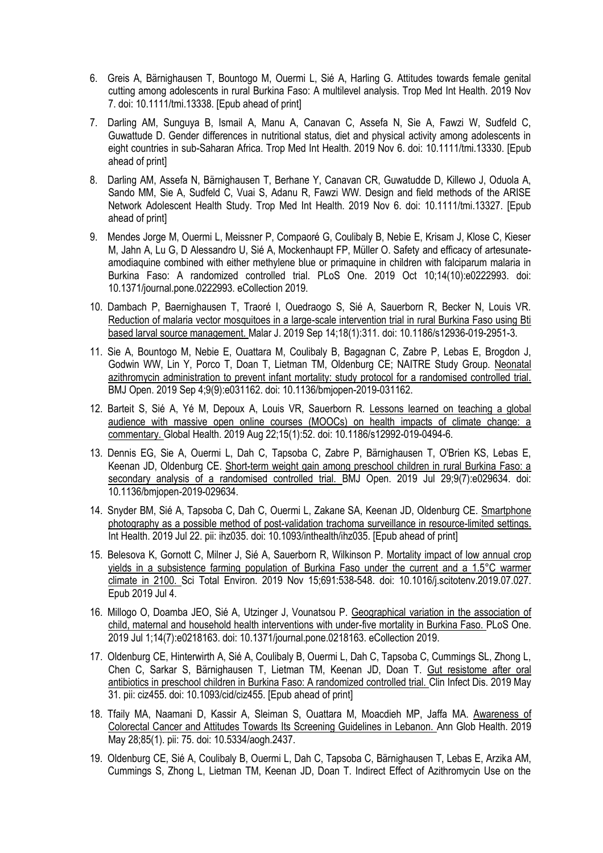- 6. Greis A, Bärnighausen T, Bountogo M, Ouermi L, Sié A, Harling G. Attitudes towards female genital cutting among adolescents in rural Burkina Faso: A multilevel analysis. Trop Med Int Health. 2019 Nov 7. doi: 10.1111/tmi.13338. [Epub ahead of print]
- 7. Darling AM, Sunguya B, Ismail A, Manu A, Canavan C, Assefa N, Sie A, Fawzi W, Sudfeld C, Guwattude D. Gender differences in nutritional status, diet and physical activity among adolescents in eight countries in sub-Saharan Africa. Trop Med Int Health. 2019 Nov 6. doi: 10.1111/tmi.13330. [Epub ahead of print]
- 8. Darling AM, Assefa N, Bärnighausen T, Berhane Y, Canavan CR, Guwatudde D, Killewo J, Oduola A, Sando MM, Sie A, Sudfeld C, Vuai S, Adanu R, Fawzi WW. Design and field methods of the ARISE Network Adolescent Health Study. Trop Med Int Health. 2019 Nov 6. doi: 10.1111/tmi.13327. [Epub ahead of print]
- 9. Mendes Jorge M, Ouermi L, Meissner P, Compaoré G, Coulibaly B, Nebie E, Krisam J, Klose C, Kieser M, Jahn A, Lu G, D Alessandro U, Sié A, Mockenhaupt FP, Müller O. Safety and efficacy of artesunateamodiaquine combined with either methylene blue or primaquine in children with falciparum malaria in Burkina Faso: A randomized controlled trial. PLoS One. 2019 Oct 10;14(10):e0222993. doi: 10.1371/journal.pone.0222993. eCollection 2019.
- 10. Dambach P, Baernighausen T, Traoré I, Ouedraogo S, Sié A, Sauerborn R, Becker N, Louis VR. Reduction of malaria vector mosquitoes in a large-scale intervention trial in rural Burkina Faso using Bti based larval source management. Malar J. 2019 Sep 14;18(1):311. doi: 10.1186/s12936-019-2951-3.
- 11. Sie A, Bountogo M, Nebie E, Ouattara M, Coulibaly B, Bagagnan C, Zabre P, Lebas E, Brogdon J, Godwin WW, Lin Y, Porco T, Doan T, Lietman TM, Oldenburg CE; NAITRE Study Group. Neonatal azithromycin administration to prevent infant mortality: study protocol for a randomised controlled trial. BMJ Open. 2019 Sep 4;9(9):e031162. doi: 10.1136/bmjopen-2019-031162.
- 12. Barteit S, Sié A, Yé M, Depoux A, Louis VR, Sauerborn R. Lessons learned on teaching a global audience with massive open online courses (MOOCs) on health impacts of climate change: a commentary. Global Health. 2019 Aug 22;15(1):52. doi: 10.1186/s12992-019-0494-6.
- 13. Dennis EG, Sie A, Ouermi L, Dah C, Tapsoba C, Zabre P, Bärnighausen T, O'Brien KS, Lebas E, Keenan JD, Oldenburg CE. Short-term weight gain among preschool children in rural Burkina Faso: a secondary analysis of a randomised controlled trial. BMJ Open. 2019 Jul 29;9(7):e029634. doi: 10.1136/bmjopen-2019-029634.
- 14. Snyder BM, Sié A, Tapsoba C, Dah C, Ouermi L, Zakane SA, Keenan JD, Oldenburg CE. Smartphone photography as a possible method of post-validation trachoma surveillance in resource-limited settings. Int Health. 2019 Jul 22. pii: ihz035. doi: 10.1093/inthealth/ihz035. [Epub ahead of print]
- 15. Belesova K, Gornott C, Milner J, Sié A, Sauerborn R, Wilkinson P. Mortality impact of low annual crop yields in a subsistence farming population of Burkina Faso under the current and a 1.5°C warmer climate in 2100. Sci Total Environ. 2019 Nov 15;691:538-548. doi: 10.1016/j.scitotenv.2019.07.027. Epub 2019 Jul 4.
- 16. Millogo O, Doamba JEO, Sié A, Utzinger J, Vounatsou P. Geographical variation in the association of child, maternal and household health interventions with under-five mortality in Burkina Faso. PLoS One. 2019 Jul 1;14(7):e0218163. doi: 10.1371/journal.pone.0218163. eCollection 2019.
- 17. Oldenburg CE, Hinterwirth A, Sié A, Coulibaly B, Ouermi L, Dah C, Tapsoba C, Cummings SL, Zhong L, Chen C, Sarkar S, Bärnighausen T, Lietman TM, Keenan JD, Doan T. Gut resistome after oral antibiotics in preschool children in Burkina Faso: A randomized controlled trial. Clin Infect Dis. 2019 May 31. pii: ciz455. doi: 10.1093/cid/ciz455. [Epub ahead of print]
- 18. Tfaily MA, Naamani D, Kassir A, Sleiman S, Ouattara M, Moacdieh MP, Jaffa MA. Awareness of Colorectal Cancer and Attitudes Towards Its Screening Guidelines in Lebanon. Ann Glob Health. 2019 May 28;85(1). pii: 75. doi: 10.5334/aogh.2437.
- 19. Oldenburg CE, Sié A, Coulibaly B, Ouermi L, Dah C, Tapsoba C, Bärnighausen T, Lebas E, Arzika AM, Cummings S, Zhong L, Lietman TM, Keenan JD, Doan T. Indirect Effect of Azithromycin Use on the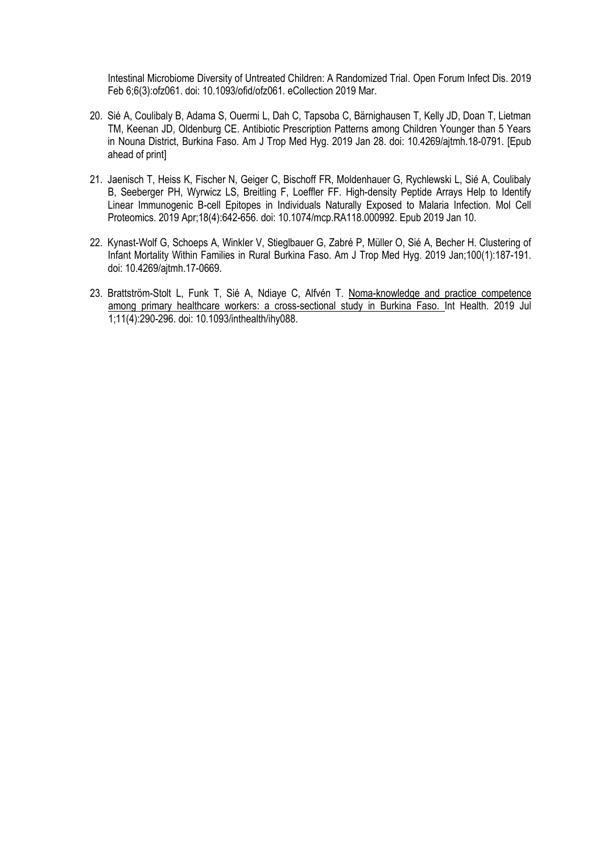Intestinal Microbiome Diversity of Untreated Children: A Randomized Trial. Open Forum Infect Dis. 2019 Feb 6;6(3):ofz061. doi: 10.1093/ofid/ofz061. eCollection 2019 Mar.

- 20. Sié A, Coulibaly B, Adama S, Ouermi L, Dah C, Tapsoba C, Bärnighausen T, Kelly JD, Doan T, Lietman TM, Keenan JD, Oldenburg CE. Antibiotic Prescription Patterns among Children Younger than 5 Years in Nouna District, Burkina Faso. Am J Trop Med Hyg. 2019 Jan 28. doi: 10.4269/ajtmh.18-0791. [Epub ahead of print]
- 21. Jaenisch T, Heiss K, Fischer N, Geiger C, Bischoff FR, Moldenhauer G, Rychlewski L, Sié A, Coulibaly B, Seeberger PH, Wyrwicz LS, Breitling F, Loeffler FF. High-density Peptide Arrays Help to Identify Linear Immunogenic B-cell Epitopes in Individuals Naturally Exposed to Malaria Infection. Mol Cell Proteomics. 2019 Apr;18(4):642-656. doi: 10.1074/mcp.RA118.000992. Epub 2019 Jan 10.
- 22. Kynast-Wolf G, Schoeps A, Winkler V, Stieglbauer G, Zabré P, Müller O, Sié A, Becher H. Clustering of Infant Mortality Within Families in Rural Burkina Faso. Am J Trop Med Hyg. 2019 Jan;100(1):187-191. doi: 10.4269/ajtmh.17-0669.
- 23. Brattström-Stolt L, Funk T, Sié A, Ndiaye C, Alfvén T. Noma-knowledge and practice competence among primary healthcare workers: a cross-sectional study in Burkina Faso. Int Health. 2019 Jul 1;11(4):290-296. doi: 10.1093/inthealth/ihy088.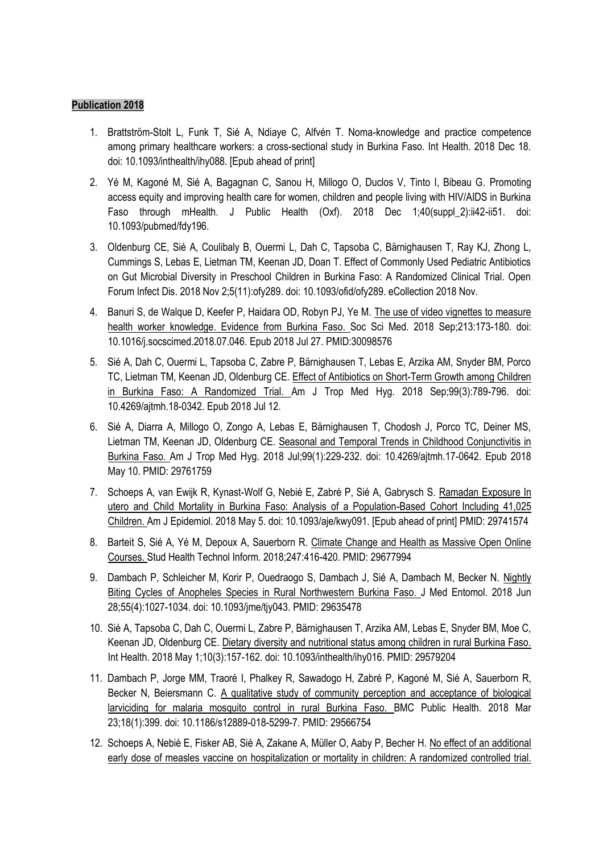- 1. Brattström-Stolt L, Funk T, Sié A, Ndiaye C, Alfvén T. Noma-knowledge and practice competence among primary healthcare workers: a cross-sectional study in Burkina Faso. Int Health. 2018 Dec 18. doi: 10.1093/inthealth/ihy088. [Epub ahead of print]
- 2. Yé M, Kagoné M, Sié A, Bagagnan C, Sanou H, Millogo O, Duclos V, Tinto I, Bibeau G. Promoting access equity and improving health care for women, children and people living with HIV/AIDS in Burkina Faso through mHealth. J Public Health (Oxf). 2018 Dec 1;40(suppl 2):ii42-ii51. doi: 10.1093/pubmed/fdy196.
- 3. Oldenburg CE, Sié A, Coulibaly B, Ouermi L, Dah C, Tapsoba C, Bärnighausen T, Ray KJ, Zhong L, Cummings S, Lebas E, Lietman TM, Keenan JD, Doan T. Effect of Commonly Used Pediatric Antibiotics on Gut Microbial Diversity in Preschool Children in Burkina Faso: A Randomized Clinical Trial. Open Forum Infect Dis. 2018 Nov 2;5(11):ofy289. doi: 10.1093/ofid/ofy289. eCollection 2018 Nov.
- 4. Banuri S, de Walque D, Keefer P, Haidara OD, Robyn PJ, Ye M. The use of video vignettes to measure health worker knowledge. Evidence from Burkina Faso. Soc Sci Med. 2018 Sep;213:173-180. doi: 10.1016/j.socscimed.2018.07.046. Epub 2018 Jul 27. PMID:30098576
- 5. Sié A, Dah C, Ouermi L, Tapsoba C, Zabre P, Bärnighausen T, Lebas E, Arzika AM, Snyder BM, Porco TC, Lietman TM, Keenan JD, Oldenburg CE. Effect of Antibiotics on Short-Term Growth among Children in Burkina Faso: A Randomized Trial. Am J Trop Med Hyg. 2018 Sep;99(3):789-796. doi: 10.4269/ajtmh.18-0342. Epub 2018 Jul 12.
- 6. Sié A, Diarra A, Millogo O, Zongo A, Lebas E, Bärnighausen T, Chodosh J, Porco TC, Deiner MS, Lietman TM, Keenan JD, Oldenburg CE. Seasonal and Temporal Trends in Childhood Conjunctivitis in Burkina Faso. Am J Trop Med Hyg. 2018 Jul;99(1):229-232. doi: 10.4269/ajtmh.17-0642. Epub 2018 May 10. PMID: 29761759
- 7. Schoeps A, van Ewijk R, Kynast-Wolf G, Nebié E, Zabré P, Sié A, Gabrysch S. Ramadan Exposure In utero and Child Mortality in Burkina Faso: Analysis of a Population-Based Cohort Including 41,025 Children. Am J Epidemiol. 2018 May 5. doi: 10.1093/aje/kwy091. [Epub ahead of print] PMID: 29741574
- 8. Barteit S, Sié A, Yé M, Depoux A, Sauerborn R. Climate Change and Health as Massive Open Online Courses. Stud Health Technol Inform. 2018;247:416-420. PMID: 29677994
- 9. Dambach P, Schleicher M, Korir P, Ouedraogo S, Dambach J, Sié A, Dambach M, Becker N. Nightly Biting Cycles of Anopheles Species in Rural Northwestern Burkina Faso. J Med Entomol. 2018 Jun 28;55(4):1027-1034. doi: 10.1093/jme/tjy043. PMID: 29635478
- 10. Sié A, Tapsoba C, Dah C, Ouermi L, Zabre P, Bärnighausen T, Arzika AM, Lebas E, Snyder BM, Moe C, Keenan JD, Oldenburg CE. Dietary diversity and nutritional status among children in rural Burkina Faso. Int Health. 2018 May 1;10(3):157-162. doi: 10.1093/inthealth/ihy016. PMID: 29579204
- 11. Dambach P, Jorge MM, Traoré I, Phalkey R, Sawadogo H, Zabré P, Kagoné M, Sié A, Sauerborn R, Becker N, Beiersmann C. A qualitative study of community perception and acceptance of biological larviciding for malaria mosquito control in rural Burkina Faso. BMC Public Health. 2018 Mar 23;18(1):399. doi: 10.1186/s12889-018-5299-7. PMID: 29566754
- 12. Schoeps A, Nebié E, Fisker AB, Sié A, Zakane A, Müller O, Aaby P, Becher H. [No effect of an additional](https://www.ncbi.nlm.nih.gov/pubmed/29523450)  [early dose of measles vaccine on hospitalization or mortality in children: A randomized controlled trial.](https://www.ncbi.nlm.nih.gov/pubmed/29523450)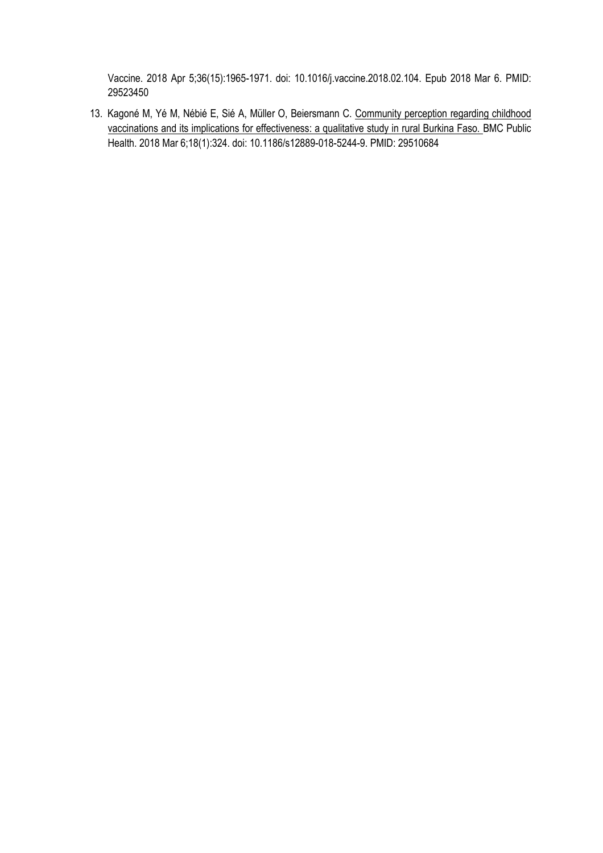Vaccine. 2018 Apr 5;36(15):1965-1971. doi: 10.1016/j.vaccine.2018.02.104. Epub 2018 Mar 6. PMID: 29523450

13. Kagoné M, Yé M, Nébié E, Sié A, Müller O, Beiersmann C. Community perception regarding childhood vaccinations and its implications for effectiveness: a qualitative study in rural Burkina Faso. BMC Public Health. 2018 Mar 6;18(1):324. doi: 10.1186/s12889-018-5244-9. PMID: 29510684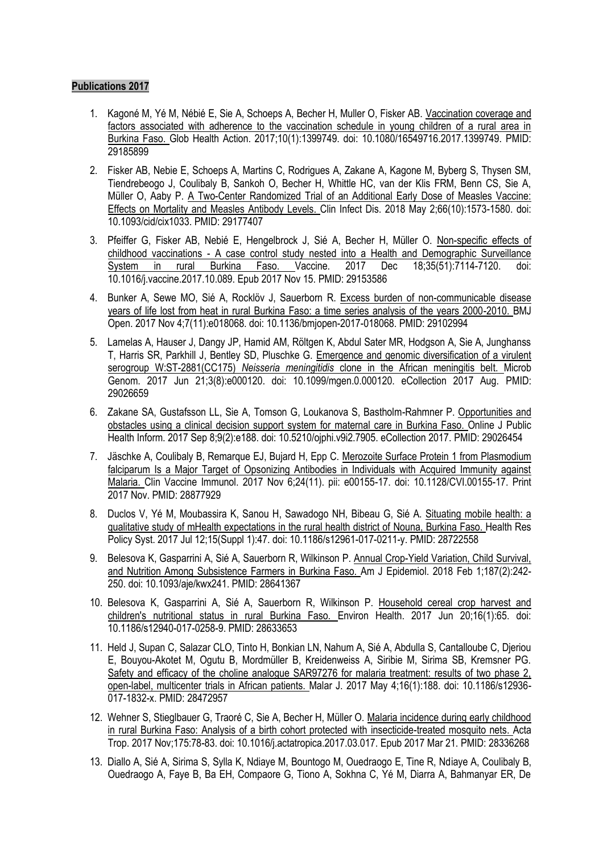- 1. Kagoné M, Yé M, Nébié E, Sie A, Schoeps A, Becher H, Muller O, Fisker AB. Vaccination coverage and factors associated with adherence to the vaccination schedule in young children of a rural area in Burkina Faso. Glob Health Action. 2017;10(1):1399749. doi: 10.1080/16549716.2017.1399749. PMID: 29185899
- 2. Fisker AB, Nebie E, Schoeps A, Martins C, Rodrigues A, Zakane A, Kagone M, Byberg S, Thysen SM, Tiendrebeogo J, Coulibaly B, Sankoh O, Becher H, Whittle HC, van der Klis FRM, Benn CS, Sie A, Müller O, Aaby P. A Two-Center Randomized Trial of an Additional Early Dose of Measles Vaccine: Effects on Mortality and Measles Antibody Levels. Clin Infect Dis. 2018 May 2;66(10):1573-1580. doi: 10.1093/cid/cix1033. PMID: 29177407
- 3. Pfeiffer G, Fisker AB, Nebié E, Hengelbrock J, Sié A, Becher H, Müller O. Non-specific effects of childhood vaccinations - A case control study nested into a Health and Demographic Surveillance<br>System in rural Burkina Faso. Vaccine. 2017 Dec 18;35(51):7114-7120. doi: System in rural Burkina Faso. Vaccine. 2017 Dec 18;35(51):7114-7120. doi: 10.1016/j.vaccine.2017.10.089. Epub 2017 Nov 15. PMID: 29153586
- 4. Bunker A, Sewe MO, Sié A, Rocklöv J, Sauerborn R. Excess burden of non-communicable disease years of life lost from heat in rural Burkina Faso: a time series analysis of the years 2000-2010. BMJ Open. 2017 Nov 4;7(11):e018068. doi: 10.1136/bmjopen-2017-018068. PMID: 29102994
- 5. Lamelas A, Hauser J, Dangy JP, Hamid AM, Röltgen K, Abdul Sater MR, Hodgson A, Sie A, Junghanss T, Harris SR, Parkhill J, Bentley SD, Pluschke G. Emergence and genomic diversification of a virulent serogroup W:ST-2881(CC175) *Neisseria meningitidis* clone in the African meningitis belt. Microb Genom. 2017 Jun 21;3(8):e000120. doi: 10.1099/mgen.0.000120. eCollection 2017 Aug. PMID: 29026659
- 6. Zakane SA, Gustafsson LL, Sie A, Tomson G, Loukanova S, Bastholm-Rahmner P. Opportunities and obstacles using a clinical decision support system for maternal care in Burkina Faso. Online J Public Health Inform. 2017 Sep 8;9(2):e188. doi: 10.5210/ojphi.v9i2.7905. eCollection 2017. PMID: 29026454
- 7. Jäschke A, Coulibaly B, Remarque EJ, Bujard H, Epp C. Merozoite Surface Protein 1 from Plasmodium falciparum Is a Major Target of Opsonizing Antibodies in Individuals with Acquired Immunity against Malaria. Clin Vaccine Immunol. 2017 Nov 6;24(11). pii: e00155-17. doi: 10.1128/CVI.00155-17. Print 2017 Nov. PMID: 28877929
- 8. Duclos V, Yé M, Moubassira K, Sanou H, Sawadogo NH, Bibeau G, Sié A. Situating mobile health: a qualitative study of mHealth expectations in the rural health district of Nouna, Burkina Faso. Health Res Policy Syst. 2017 Jul 12;15(Suppl 1):47. doi: 10.1186/s12961-017-0211-y. PMID: 28722558
- 9. Belesova K, Gasparrini A, Sié A, Sauerborn R, Wilkinson P. Annual Crop-Yield Variation, Child Survival, and Nutrition Among Subsistence Farmers in Burkina Faso. Am J Epidemiol. 2018 Feb 1;187(2):242- 250. doi: 10.1093/aje/kwx241. PMID: 28641367
- 10. Belesova K, Gasparrini A, Sié A, Sauerborn R, Wilkinson P. Household cereal crop harvest and children's nutritional status in rural Burkina Faso. Environ Health. 2017 Jun 20;16(1):65. doi: 10.1186/s12940-017-0258-9. PMID: 28633653
- 11. Held J, Supan C, Salazar CLO, Tinto H, Bonkian LN, Nahum A, Sié A, Abdulla S, Cantalloube C, Djeriou E, Bouyou-Akotet M, Ogutu B, Mordmüller B, Kreidenweiss A, Siribie M, Sirima SB, Kremsner PG. Safety and efficacy of the choline analogue SAR97276 for malaria treatment: results of two phase 2, open-label, multicenter trials in African patients. Malar J. 2017 May 4;16(1):188. doi: 10.1186/s12936- 017-1832-x. PMID: 28472957
- 12. Wehner S, Stieglbauer G, Traoré C, Sie A, Becher H, Müller O. Malaria incidence during early childhood in rural Burkina Faso: Analysis of a birth cohort protected with insecticide-treated mosquito nets. Acta Trop. 2017 Nov;175:78-83. doi: 10.1016/j.actatropica.2017.03.017. Epub 2017 Mar 21. PMID: 28336268
- 13. Diallo A, Sié A, Sirima S, Sylla K, Ndiaye M, Bountogo M, Ouedraogo E, Tine R, Ndiaye A, Coulibaly B, Ouedraogo A, Faye B, Ba EH, Compaore G, Tiono A, Sokhna C, Yé M, Diarra A, Bahmanyar ER, De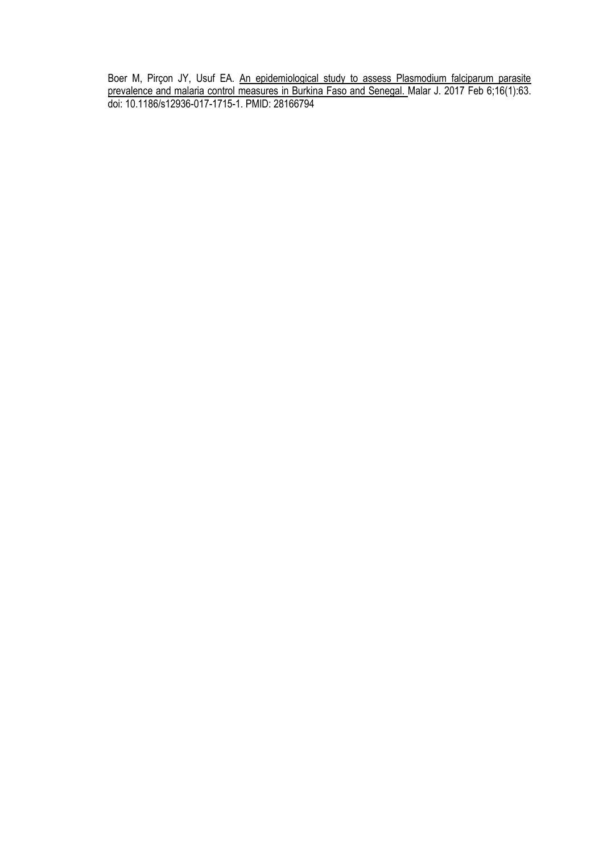Boer M, Pirçon JY, Usuf EA. An epidemiological study to assess Plasmodium falciparum parasite prevalence and malaria control measures in Burkina Faso and Senegal. Malar J. 2017 Feb 6;16(1):63. doi: 10.1186/s12936-017-1715-1. PMID: 28166794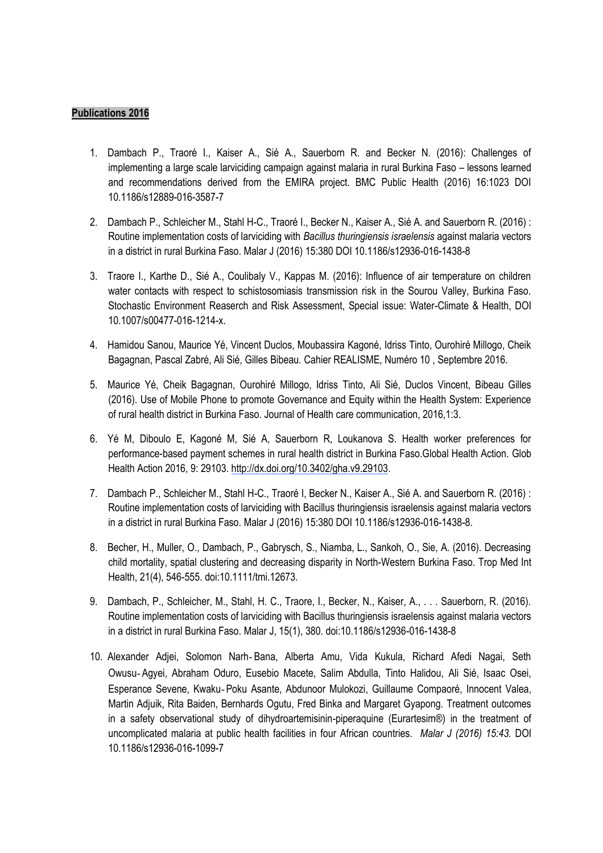- 1. Dambach P., Traoré I., Kaiser A., Sié A., Sauerborn R. and Becker N. (2016): Challenges of implementing a large scale larviciding campaign against malaria in rural Burkina Faso – lessons learned and recommendations derived from the EMIRA project. BMC Public Health (2016) 16:1023 DOI 10.1186/s12889-016-3587-7
- 2. Dambach P., Schleicher M., Stahl H-C., Traoré I., Becker N., Kaiser A., Sié A. and Sauerborn R. (2016) : Routine implementation costs of larviciding with *Bacillus thuringiensis israelensis* against malaria vectors in a district in rural Burkina Faso. Malar J (2016) 15:380 DOI 10.1186/s12936-016-1438-8
- 3. Traore I., Karthe D., Sié A., Coulibaly V., Kappas M. (2016): Influence of air temperature on children water contacts with respect to schistosomiasis transmission risk in the Sourou Valley, Burkina Faso. Stochastic Environment Reaserch and Risk Assessment, Special issue: Water-Climate & Health, DOI 10.1007/s00477-016-1214-x.
- 4. Hamidou Sanou, Maurice Yé, Vincent Duclos, Moubassira Kagoné, Idriss Tinto, Ourohiré Millogo, Cheik Bagagnan, Pascal Zabré, Ali Sié, Gilles Bibeau. Cahier REALISME, Numéro 10 , Septembre 2016.
- 5. Maurice Yé, Cheik Bagagnan, Ourohiré Millogo, Idriss Tinto, Ali Sié, Duclos Vincent, Bibeau Gilles (2016). Use of Mobile Phone to promote Governance and Equity within the Health System: Experience of rural health district in Burkina Faso. Journal of Health care communication, 2016,1:3.
- 6. Yé M, Diboulo E, Kagoné M, Sié A, Sauerborn R, Loukanova S. Health worker preferences for performance-based payment schemes in rural health district in Burkina Faso.Global Health Action. Glob Health Action 2016, 9: 29103. [http://dx.doi.org/10.3402/gha.v9.29103.](http://dx.doi.org/10.3402/gha.v9.29103)
- 7. Dambach P., Schleicher M., Stahl H-C., Traoré I, Becker N., Kaiser A., Sié A. and Sauerborn R. (2016) : Routine implementation costs of larviciding with Bacillus thuringiensis israelensis against malaria vectors in a district in rural Burkina Faso. Malar J (2016) 15:380 DOI 10.1186/s12936-016-1438-8.
- 8. Becher, H., Muller, O., Dambach, P., Gabrysch, S., Niamba, L., Sankoh, O., Sie, A. (2016). Decreasing child mortality, spatial clustering and decreasing disparity in North-Western Burkina Faso. Trop Med Int Health, 21(4), 546-555. doi:10.1111/tmi.12673.
- 9. Dambach, P., Schleicher, M., Stahl, H. C., Traore, I., Becker, N., Kaiser, A., . . . Sauerborn, R. (2016). Routine implementation costs of larviciding with Bacillus thuringiensis israelensis against malaria vectors in a district in rural Burkina Faso. Malar J, 15(1), 380. doi:10.1186/s12936-016-1438-8
- 10. Alexander Adjei, Solomon Narh‑Bana, Alberta Amu, Vida Kukula, Richard Afedi Nagai, Seth Owusu‑Agyei, Abraham Oduro, Eusebio Macete, Salim Abdulla, Tinto Halidou, Ali Sié, Isaac Osei, Esperance Sevene, Kwaku‑Poku Asante, Abdunoor Mulokozi, Guillaume Compaoré, Innocent Valea, Martin Adjuik, Rita Baiden, Bernhards Ogutu, Fred Binka and Margaret Gyapong. Treatment outcomes in a safety observational study of dihydroartemisinin-piperaquine (Eurartesim®) in the treatment of uncomplicated malaria at public health facilities in four African countries. *Malar J (2016) 15:43.* DOI 10.1186/s12936-016-1099-7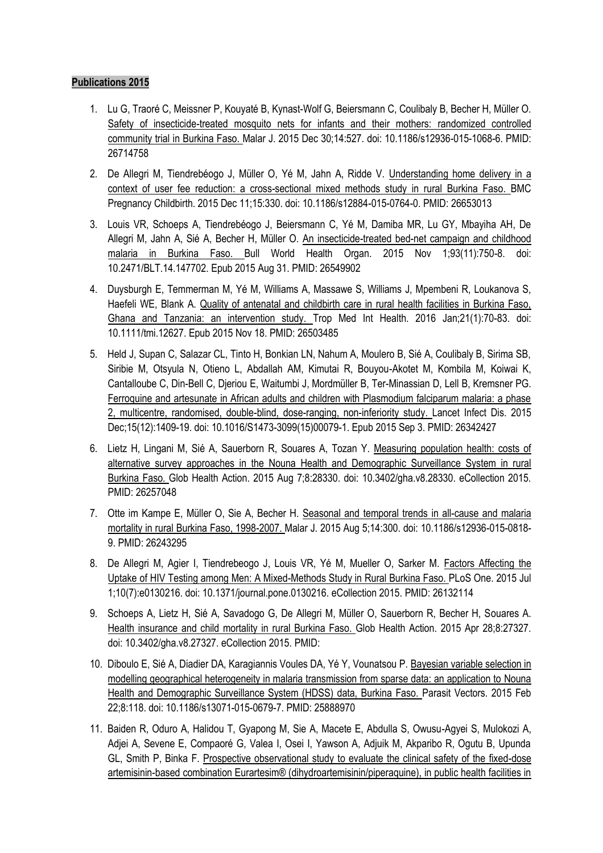- 1. Lu G, Traoré C, Meissner P, Kouyaté B, Kynast-Wolf G, Beiersmann C, Coulibaly B, Becher H, Müller O. Safety of insecticide-treated mosquito nets for infants and their mothers: randomized controlled community trial in Burkina Faso. Malar J. 2015 Dec 30;14:527. doi: 10.1186/s12936-015-1068-6. PMID: 26714758
- 2. De Allegri M, Tiendrebéogo J, Müller O, Yé M, Jahn A, Ridde V. Understanding home delivery in a context of user fee reduction: a cross-sectional mixed methods study in rural Burkina Faso. BMC Pregnancy Childbirth. 2015 Dec 11;15:330. doi: 10.1186/s12884-015-0764-0. PMID: 26653013
- 3. Louis VR, Schoeps A, Tiendrebéogo J, Beiersmann C, Yé M, Damiba MR, Lu GY, Mbayiha AH, De Allegri M, Jahn A, Sié A, Becher H, Müller O. An insecticide-treated bed-net campaign and childhood malaria in Burkina Faso. Bull World Health Organ. 2015 Nov 1;93(11):750-8. doi: 10.2471/BLT.14.147702. Epub 2015 Aug 31. PMID: 26549902
- 4. Duysburgh E, Temmerman M, Yé M, Williams A, Massawe S, Williams J, Mpembeni R, Loukanova S, Haefeli WE, Blank A. Quality of antenatal and childbirth care in rural health facilities in Burkina Faso, Ghana and Tanzania: an intervention study. Trop Med Int Health. 2016 Jan;21(1):70-83. doi: 10.1111/tmi.12627. Epub 2015 Nov 18. PMID: 26503485
- 5. Held J, Supan C, Salazar CL, Tinto H, Bonkian LN, Nahum A, Moulero B, Sié A, Coulibaly B, Sirima SB, Siribie M, Otsyula N, Otieno L, Abdallah AM, Kimutai R, Bouyou-Akotet M, Kombila M, Koiwai K, Cantalloube C, Din-Bell C, Djeriou E, Waitumbi J, Mordmüller B, Ter-Minassian D, Lell B, Kremsner PG. Ferroquine and artesunate in African adults and children with Plasmodium falciparum malaria: a phase 2, multicentre, randomised, double-blind, dose-ranging, non-inferiority study. Lancet Infect Dis. 2015 Dec;15(12):1409-19. doi: 10.1016/S1473-3099(15)00079-1. Epub 2015 Sep 3. PMID: 26342427
- 6. Lietz H, Lingani M, Sié A, Sauerborn R, Souares A, Tozan Y. Measuring population health: costs of alternative survey approaches in the Nouna Health and Demographic Surveillance System in rural Burkina Faso. Glob Health Action. 2015 Aug 7;8:28330. doi: 10.3402/gha.v8.28330. eCollection 2015. PMID: 26257048
- 7. Otte im Kampe E, Müller O, Sie A, Becher H. Seasonal and temporal trends in all-cause and malaria mortality in rural Burkina Faso, 1998-2007. Malar J. 2015 Aug 5;14:300. doi: 10.1186/s12936-015-0818- 9. PMID: 26243295
- 8. De Allegri M, Agier I, Tiendrebeogo J, Louis VR, Yé M, Mueller O, Sarker M. Factors Affecting the Uptake of HIV Testing among Men: A Mixed-Methods Study in Rural Burkina Faso. PLoS One. 2015 Jul 1;10(7):e0130216. doi: 10.1371/journal.pone.0130216. eCollection 2015. PMID: 26132114
- 9. Schoeps A, Lietz H, Sié A, Savadogo G, De Allegri M, Müller O, Sauerborn R, Becher H, Souares A. Health insurance and child mortality in rural Burkina Faso. Glob Health Action. 2015 Apr 28;8:27327. doi: 10.3402/gha.v8.27327. eCollection 2015. PMID:
- 10. Diboulo E, Sié A, Diadier DA, Karagiannis Voules DA, Yé Y, Vounatsou P. Bayesian variable selection in modelling geographical heterogeneity in malaria transmission from sparse data: an application to Nouna Health and Demographic Surveillance System (HDSS) data, Burkina Faso. Parasit Vectors. 2015 Feb 22;8:118. doi: 10.1186/s13071-015-0679-7. PMID: 25888970
- 11. Baiden R, Oduro A, Halidou T, Gyapong M, Sie A, Macete E, Abdulla S, Owusu-Agyei S, Mulokozi A, Adjei A, Sevene E, Compaoré G, Valea I, Osei I, Yawson A, Adjuik M, Akparibo R, Ogutu B, Upunda GL, Smith P, Binka F. Prospective observational study to evaluate the clinical safety of the fixed-dose artemisinin-based combination Eurartesim® (dihydroartemisinin/piperaquine), in public health facilities in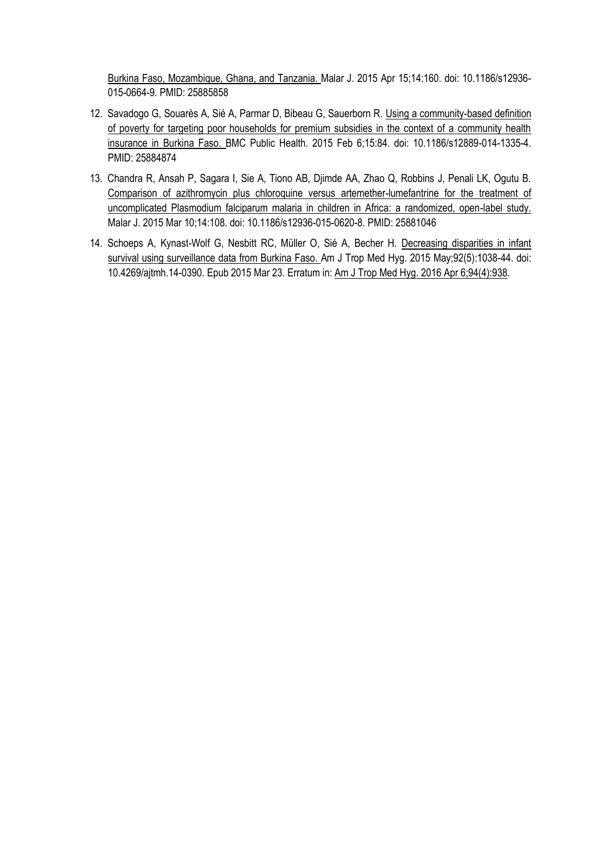Burkina Faso, Mozambique, Ghana, and Tanzania. Malar J. 2015 Apr 15;14:160. doi: 10.1186/s12936- 015-0664-9. PMID: 25885858

- 12. Savadogo G, Souarès A, Sié A, Parmar D, Bibeau G, Sauerborn R. Using a community-based definition of poverty for targeting poor households for premium subsidies in the context of a community health insurance in Burkina Faso. BMC Public Health. 2015 Feb 6;15:84. doi: 10.1186/s12889-014-1335-4. PMID: 25884874
- 13. Chandra R, Ansah P, Sagara I, Sie A, Tiono AB, Djimde AA, Zhao Q, Robbins J, Penali LK, Ogutu B. Comparison of azithromycin plus chloroquine versus artemether-lumefantrine for the treatment of uncomplicated Plasmodium falciparum malaria in children in Africa: a randomized, open-label study. Malar J. 2015 Mar 10;14:108. doi: 10.1186/s12936-015-0620-8. PMID: 25881046
- 14. Schoeps A, Kynast-Wolf G, Nesbitt RC, Müller O, Sié A, Becher H. Decreasing disparities in infant survival using surveillance data from Burkina Faso. Am J Trop Med Hyg. 2015 May;92(5):1038-44. doi: 10.4269/ajtmh.14-0390. Epub 2015 Mar 23. Erratum in: Am J Trop Med Hyg. 2016 Apr 6;94(4):938.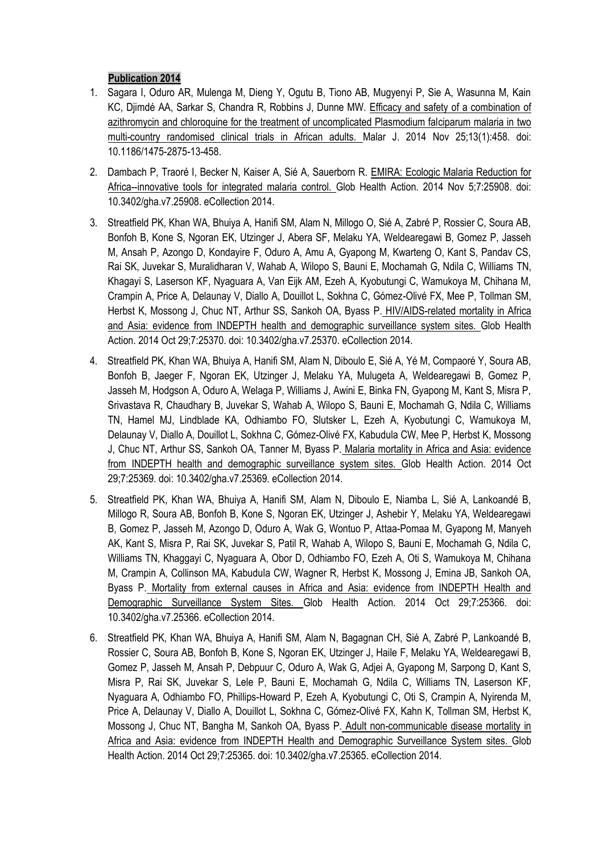- 1. Sagara I, Oduro AR, Mulenga M, Dieng Y, Ogutu B, Tiono AB, Mugyenyi P, Sie A, Wasunna M, Kain KC, Djimdé AA, Sarkar S, Chandra R, Robbins J, Dunne MW. Efficacy and safety of a combination of azithromycin and chloroquine for the treatment of uncomplicated Plasmodium falciparum malaria in two multi-country randomised clinical trials in African adults. Malar J. 2014 Nov 25;13(1):458. doi: 10.1186/1475-2875-13-458.
- 2. Dambach P, Traoré I, Becker N, Kaiser A, Sié A, Sauerborn R. EMIRA: Ecologic Malaria Reduction for Africa--innovative tools for integrated malaria control. Glob Health Action. 2014 Nov 5;7:25908. doi: 10.3402/gha.v7.25908. eCollection 2014.
- 3. Streatfield PK, Khan WA, Bhuiya A, Hanifi SM, Alam N, Millogo O, Sié A, Zabré P, Rossier C, Soura AB, Bonfoh B, Kone S, Ngoran EK, Utzinger J, Abera SF, Melaku YA, Weldearegawi B, Gomez P, Jasseh M, Ansah P, Azongo D, Kondayire F, Oduro A, Amu A, Gyapong M, Kwarteng O, Kant S, Pandav CS, Rai SK, Juvekar S, Muralidharan V, Wahab A, Wilopo S, Bauni E, Mochamah G, Ndila C, Williams TN, Khagayi S, Laserson KF, Nyaguara A, Van Eijk AM, Ezeh A, Kyobutungi C, Wamukoya M, Chihana M, Crampin A, Price A, Delaunay V, Diallo A, Douillot L, Sokhna C, Gómez-Olivé FX, Mee P, Tollman SM, Herbst K, Mossong J, Chuc NT, Arthur SS, Sankoh OA, Byass P. HIV/AIDS-related mortality in Africa and Asia: evidence from INDEPTH health and demographic surveillance system sites. Glob Health Action. 2014 Oct 29;7:25370. doi: 10.3402/gha.v7.25370. eCollection 2014.
- 4. Streatfield PK, Khan WA, Bhuiya A, Hanifi SM, Alam N, Diboulo E, Sié A, Yé M, Compaoré Y, Soura AB, Bonfoh B, Jaeger F, Ngoran EK, Utzinger J, Melaku YA, Mulugeta A, Weldearegawi B, Gomez P, Jasseh M, Hodgson A, Oduro A, Welaga P, Williams J, Awini E, Binka FN, Gyapong M, Kant S, Misra P, Srivastava R, Chaudhary B, Juvekar S, Wahab A, Wilopo S, Bauni E, Mochamah G, Ndila C, Williams TN, Hamel MJ, Lindblade KA, Odhiambo FO, Slutsker L, Ezeh A, Kyobutungi C, Wamukoya M, Delaunay V, Diallo A, Douillot L, Sokhna C, Gómez-Olivé FX, Kabudula CW, Mee P, Herbst K, Mossong J, Chuc NT, Arthur SS, Sankoh OA, Tanner M, Byass P. Malaria mortality in Africa and Asia: evidence from INDEPTH health and demographic surveillance system sites. Glob Health Action. 2014 Oct 29;7:25369. doi: 10.3402/gha.v7.25369. eCollection 2014.
- 5. Streatfield PK, Khan WA, Bhuiya A, Hanifi SM, Alam N, Diboulo E, Niamba L, Sié A, Lankoandé B, Millogo R, Soura AB, Bonfoh B, Kone S, Ngoran EK, Utzinger J, Ashebir Y, Melaku YA, Weldearegawi B, Gomez P, Jasseh M, Azongo D, Oduro A, Wak G, Wontuo P, Attaa-Pomaa M, Gyapong M, Manyeh AK, Kant S, Misra P, Rai SK, Juvekar S, Patil R, Wahab A, Wilopo S, Bauni E, Mochamah G, Ndila C, Williams TN, Khaggayi C, Nyaguara A, Obor D, Odhiambo FO, Ezeh A, Oti S, Wamukoya M, Chihana M, Crampin A, Collinson MA, Kabudula CW, Wagner R, Herbst K, Mossong J, Emina JB, Sankoh OA, Byass P. Mortality from external causes in Africa and Asia: evidence from INDEPTH Health and Demographic Surveillance System Sites. Glob Health Action. 2014 Oct 29;7:25366. doi: 10.3402/gha.v7.25366. eCollection 2014.
- 6. Streatfield PK, Khan WA, Bhuiya A, Hanifi SM, Alam N, Bagagnan CH, Sié A, Zabré P, Lankoandé B, Rossier C, Soura AB, Bonfoh B, Kone S, Ngoran EK, Utzinger J, Haile F, Melaku YA, Weldearegawi B, Gomez P, Jasseh M, Ansah P, Debpuur C, Oduro A, Wak G, Adjei A, Gyapong M, Sarpong D, Kant S, Misra P, Rai SK, Juvekar S, Lele P, Bauni E, Mochamah G, Ndila C, Williams TN, Laserson KF, Nyaguara A, Odhiambo FO, Phillips-Howard P, Ezeh A, Kyobutungi C, Oti S, Crampin A, Nyirenda M, Price A, Delaunay V, Diallo A, Douillot L, Sokhna C, Gómez-Olivé FX, Kahn K, Tollman SM, Herbst K, Mossong J, Chuc NT, Bangha M, Sankoh OA, Byass P. Adult non-communicable disease mortality in Africa and Asia: evidence from INDEPTH Health and Demographic Surveillance System sites. Glob Health Action. 2014 Oct 29;7:25365. doi: 10.3402/gha.v7.25365. eCollection 2014.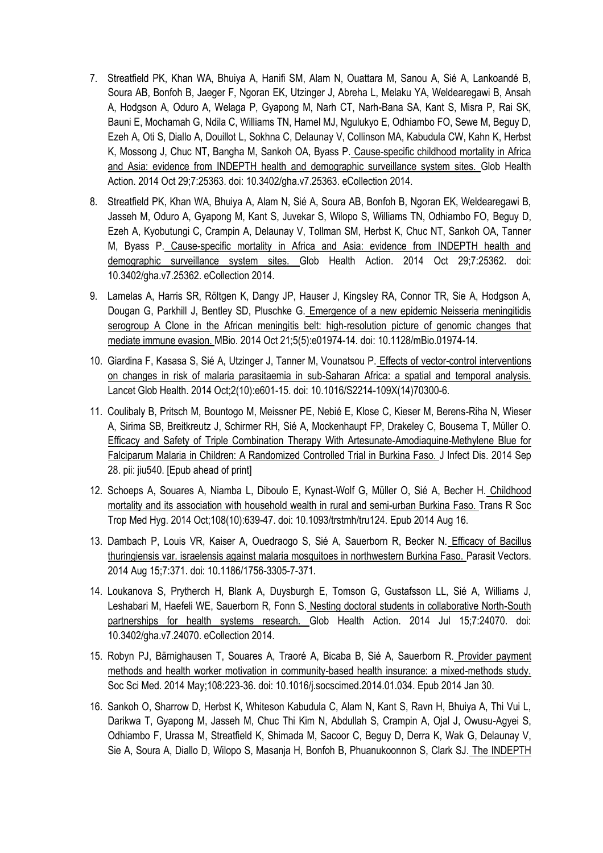- 7. Streatfield PK, Khan WA, Bhuiya A, Hanifi SM, Alam N, Ouattara M, Sanou A, Sié A, Lankoandé B, Soura AB, Bonfoh B, Jaeger F, Ngoran EK, Utzinger J, Abreha L, Melaku YA, Weldearegawi B, Ansah A, Hodgson A, Oduro A, Welaga P, Gyapong M, Narh CT, Narh-Bana SA, Kant S, Misra P, Rai SK, Bauni E, Mochamah G, Ndila C, Williams TN, Hamel MJ, Ngulukyo E, Odhiambo FO, Sewe M, Beguy D, Ezeh A, Oti S, Diallo A, Douillot L, Sokhna C, Delaunay V, Collinson MA, Kabudula CW, Kahn K, Herbst K, Mossong J, Chuc NT, Bangha M, Sankoh OA, Byass P. Cause-specific childhood mortality in Africa and Asia: evidence from INDEPTH health and demographic surveillance system sites. Glob Health Action. 2014 Oct 29;7:25363. doi: 10.3402/gha.v7.25363. eCollection 2014.
- 8. Streatfield PK, Khan WA, Bhuiya A, Alam N, Sié A, Soura AB, Bonfoh B, Ngoran EK, Weldearegawi B, Jasseh M, Oduro A, Gyapong M, Kant S, Juvekar S, Wilopo S, Williams TN, Odhiambo FO, Beguy D, Ezeh A, Kyobutungi C, Crampin A, Delaunay V, Tollman SM, Herbst K, Chuc NT, Sankoh OA, Tanner M, Byass P. Cause-specific mortality in Africa and Asia: evidence from INDEPTH health and demographic surveillance system sites. Glob Health Action. 2014 Oct 29;7:25362. doi: 10.3402/gha.v7.25362. eCollection 2014.
- 9. Lamelas A, Harris SR, Röltgen K, Dangy JP, Hauser J, Kingsley RA, Connor TR, Sie A, Hodgson A, Dougan G, Parkhill J, Bentley SD, Pluschke G. Emergence of a new epidemic Neisseria meningitidis serogroup A Clone in the African meningitis belt: high-resolution picture of genomic changes that mediate immune evasion. MBio. 2014 Oct 21;5(5):e01974-14. doi: 10.1128/mBio.01974-14.
- 10. Giardina F, Kasasa S, Sié A, Utzinger J, Tanner M, Vounatsou P. Effects of vector-control interventions on changes in risk of malaria parasitaemia in sub-Saharan Africa: a spatial and temporal analysis. Lancet Glob Health. 2014 Oct;2(10):e601-15. doi: 10.1016/S2214-109X(14)70300-6.
- 11. Coulibaly B, Pritsch M, Bountogo M, Meissner PE, Nebié E, Klose C, Kieser M, Berens-Riha N, Wieser A, Sirima SB, Breitkreutz J, Schirmer RH, Sié A, Mockenhaupt FP, Drakeley C, Bousema T, Müller O. Efficacy and Safety of Triple Combination Therapy With Artesunate-Amodiaquine-Methylene Blue for Falciparum Malaria in Children: A Randomized Controlled Trial in Burkina Faso. J Infect Dis. 2014 Sep 28. pii: jiu540. [Epub ahead of print]
- 12. Schoeps A, Souares A, Niamba L, Diboulo E, Kynast-Wolf G, Müller O, Sié A, Becher H. Childhood mortality and its association with household wealth in rural and semi-urban Burkina Faso. Trans R Soc Trop Med Hyg. 2014 Oct;108(10):639-47. doi: 10.1093/trstmh/tru124. Epub 2014 Aug 16.
- 13. Dambach P, Louis VR, Kaiser A, Ouedraogo S, Sié A, Sauerborn R, Becker N. Efficacy of Bacillus thuringiensis var. israelensis against malaria mosquitoes in northwestern Burkina Faso. Parasit Vectors. 2014 Aug 15;7:371. doi: 10.1186/1756-3305-7-371.
- 14. Loukanova S, Prytherch H, Blank A, Duysburgh E, Tomson G, Gustafsson LL, Sié A, Williams J, Leshabari M, Haefeli WE, Sauerborn R, Fonn S. Nesting doctoral students in collaborative North-South partnerships for health systems research. Glob Health Action. 2014 Jul 15;7:24070. doi: 10.3402/gha.v7.24070. eCollection 2014.
- 15. Robyn PJ, Bärnighausen T, Souares A, Traoré A, Bicaba B, Sié A, Sauerborn R. Provider payment methods and health worker motivation in community-based health insurance: a mixed-methods study. Soc Sci Med. 2014 May;108:223-36. doi: 10.1016/j.socscimed.2014.01.034. Epub 2014 Jan 30.
- 16. Sankoh O, Sharrow D, Herbst K, Whiteson Kabudula C, Alam N, Kant S, Ravn H, Bhuiya A, Thi Vui L, Darikwa T, Gyapong M, Jasseh M, Chuc Thi Kim N, Abdullah S, Crampin A, Ojal J, Owusu-Agyei S, Odhiambo F, Urassa M, Streatfield K, Shimada M, Sacoor C, Beguy D, Derra K, Wak G, Delaunay V, Sie A, Soura A, Diallo D, Wilopo S, Masanja H, Bonfoh B, Phuanukoonnon S, Clark SJ. The INDEPTH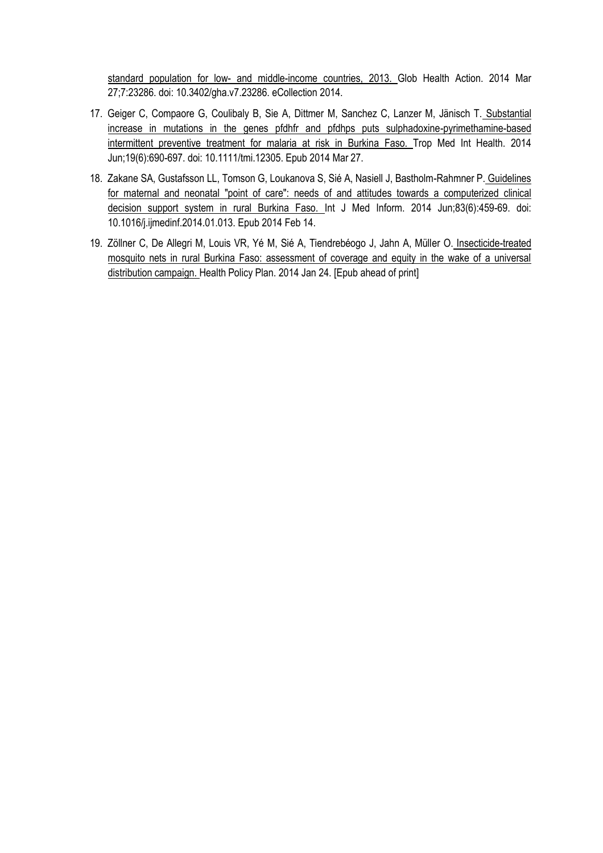standard population for low- and middle-income countries, 2013. Glob Health Action. 2014 Mar 27;7:23286. doi: 10.3402/gha.v7.23286. eCollection 2014.

- 17. Geiger C, Compaore G, Coulibaly B, Sie A, Dittmer M, Sanchez C, Lanzer M, Jänisch T. Substantial increase in mutations in the genes pfdhfr and pfdhps puts sulphadoxine-pyrimethamine-based intermittent preventive treatment for malaria at risk in Burkina Faso. Trop Med Int Health. 2014 Jun;19(6):690-697. doi: 10.1111/tmi.12305. Epub 2014 Mar 27.
- 18. Zakane SA, Gustafsson LL, Tomson G, Loukanova S, Sié A, Nasiell J, Bastholm-Rahmner P. Guidelines for maternal and neonatal "point of care": needs of and attitudes towards a computerized clinical decision support system in rural Burkina Faso. Int J Med Inform. 2014 Jun;83(6):459-69. doi: 10.1016/j.ijmedinf.2014.01.013. Epub 2014 Feb 14.
- 19. Zöllner C, De Allegri M, Louis VR, Yé M, Sié A, Tiendrebéogo J, Jahn A, Müller O. Insecticide-treated mosquito nets in rural Burkina Faso: assessment of coverage and equity in the wake of a universal distribution campaign. Health Policy Plan. 2014 Jan 24. [Epub ahead of print]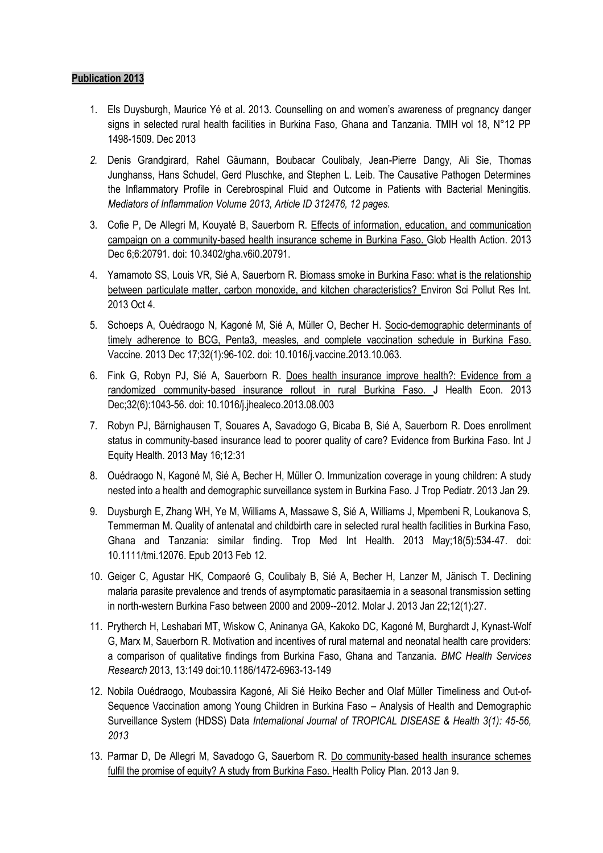- 1. Els Duysburgh, Maurice Yé et al. 2013. Counselling on and women's awareness of pregnancy danger signs in selected rural health facilities in Burkina Faso, Ghana and Tanzania. TMIH vol 18, N°12 PP 1498-1509. Dec 2013
- *2.* Denis Grandgirard, Rahel Gäumann, Boubacar Coulibaly, Jean-Pierre Dangy, Ali Sie, Thomas Junghanss, Hans Schudel, Gerd Pluschke, and Stephen L. Leib. The Causative Pathogen Determines the Inflammatory Profile in Cerebrospinal Fluid and Outcome in Patients with Bacterial Meningitis. *Mediators of Inflammation Volume 2013, Article ID 312476, 12 pages.*
- 3. Cofie P, De Allegri M, Kouyaté B, Sauerborn R. Effects of information, education, and communication campaign on a community-based health insurance scheme in Burkina Faso. Glob Health Action. 2013 Dec 6;6:20791. doi: 10.3402/gha.v6i0.20791.
- 4. Yamamoto SS, Louis VR, Sié A, Sauerborn R. Biomass smoke in Burkina Faso: what is the relationship between particulate matter, carbon monoxide, and kitchen characteristics? Environ Sci Pollut Res Int. 2013 Oct 4.
- 5. Schoeps A, Ouédraogo N, Kagoné M, Sié A, Müller O, Becher H. Socio-demographic determinants of timely adherence to BCG, Penta3, measles, and complete vaccination schedule in Burkina Faso. Vaccine. 2013 Dec 17;32(1):96-102. doi: 10.1016/j.vaccine.2013.10.063.
- 6. Fink G, Robyn PJ, Sié A, Sauerborn R. Does health insurance improve health?: Evidence from a randomized community-based insurance rollout in rural Burkina Faso. J Health Econ. 2013 Dec;32(6):1043-56. doi: 10.1016/j.jhealeco.2013.08.003
- 7. Robyn PJ, Bärnighausen T, Souares A, Savadogo G, Bicaba B, Sié A, Sauerborn R. Does enrollment status in community-based insurance lead to poorer quality of care? Evidence from Burkina Faso. Int J Equity Health. 2013 May 16;12:31
- 8. Ouédraogo N, Kagoné M, Sié A, Becher H, Müller O. Immunization coverage in young children: A study nested into a health and demographic surveillance system in Burkina Faso. J Trop Pediatr. 2013 Jan 29.
- 9. Duysburgh E, Zhang WH, Ye M, Williams A, Massawe S, Sié A, Williams J, Mpembeni R, Loukanova S, Temmerman M. Quality of antenatal and childbirth care in selected rural health facilities in Burkina Faso, Ghana and Tanzania: similar finding. Trop Med Int Health. 2013 May;18(5):534-47. doi: 10.1111/tmi.12076. Epub 2013 Feb 12.
- 10. Geiger C, Agustar HK, Compaoré G, Coulibaly B, Sié A, Becher H, Lanzer M, Jänisch T. Declining malaria parasite prevalence and trends of asymptomatic parasitaemia in a seasonal transmission setting in north-western Burkina Faso between 2000 and 2009--2012. Molar J. 2013 Jan 22;12(1):27.
- 11. Prytherch H, Leshabari MT, Wiskow C, Aninanya GA, Kakoko DC, Kagoné M, Burghardt J, Kynast-Wolf G, Marx M, Sauerborn R. Motivation and incentives of rural maternal and neonatal health care providers: a comparison of qualitative findings from Burkina Faso, Ghana and Tanzania. *BMC Health Services Research* 2013, 13:149 doi:10.1186/1472-6963-13-149
- 12. Nobila Ouédraogo, Moubassira Kagoné, Ali Sié Heiko Becher and Olaf Müller Timeliness and Out-of-Sequence Vaccination among Young Children in Burkina Faso – Analysis of Health and Demographic Surveillance System (HDSS) Data *International Journal of TROPICAL DISEASE & Health 3(1): 45-56, 2013*
- 13. Parmar D, De Allegri M, Savadogo G, Sauerborn R. Do community-based health insurance schemes fulfil the promise of equity? A study from Burkina Faso. Health Policy Plan. 2013 Jan 9.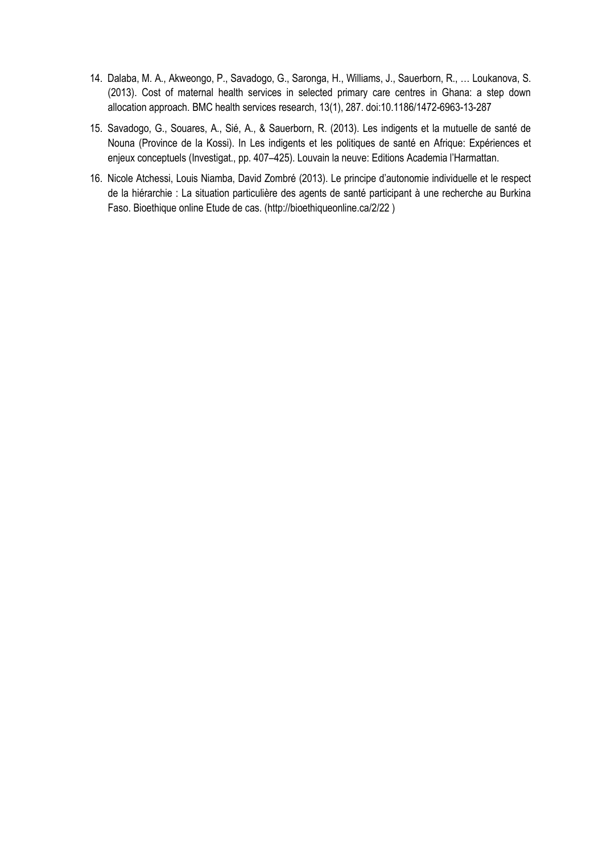- 14. Dalaba, M. A., Akweongo, P., Savadogo, G., Saronga, H., Williams, J., Sauerborn, R., … Loukanova, S. (2013). Cost of maternal health services in selected primary care centres in Ghana: a step down allocation approach. BMC health services research, 13(1), 287. doi:10.1186/1472-6963-13-287
- 15. Savadogo, G., Souares, A., Sié, A., & Sauerborn, R. (2013). Les indigents et la mutuelle de santé de Nouna (Province de la Kossi). In Les indigents et les politiques de santé en Afrique: Expériences et enjeux conceptuels (Investigat., pp. 407–425). Louvain la neuve: Editions Academia l'Harmattan.
- 16. Nicole Atchessi, Louis Niamba, David Zombré (2013). Le principe d'autonomie individuelle et le respect de la hiérarchie : La situation particulière des agents de santé participant à une recherche au Burkina Faso. Bioethique online Etude de cas. (http://bioethiqueonline.ca/2/22 )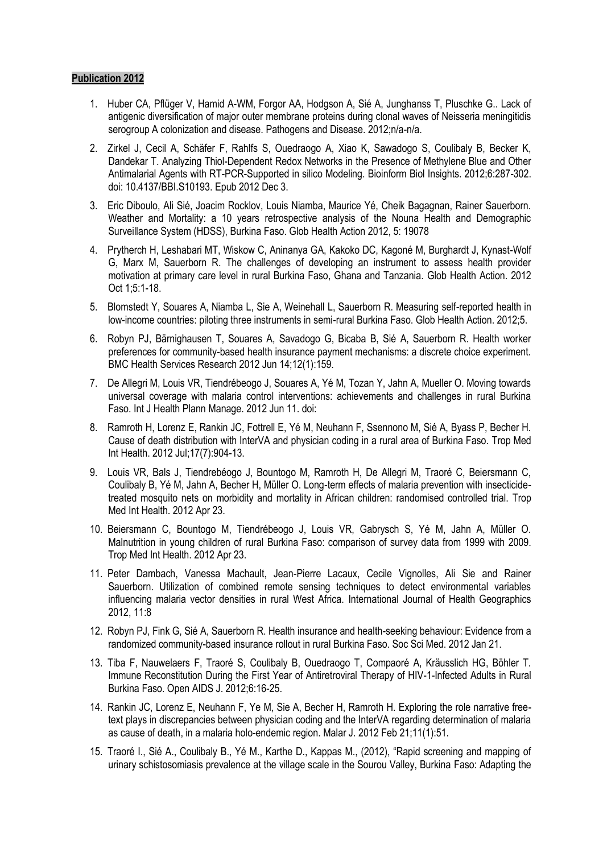- 1. Huber CA, Pflüger V, Hamid A-WM, Forgor AA, Hodgson A, Sié A, Junghanss T, Pluschke G.. Lack of antigenic diversification of major outer membrane proteins during clonal waves of Neisseria meningitidis serogroup A colonization and disease. Pathogens and Disease. 2012;n/a-n/a.
- 2. Zirkel J, Cecil A, Schäfer F, Rahlfs S, Ouedraogo A, Xiao K, Sawadogo S, Coulibaly B, Becker K, Dandekar T. Analyzing Thiol-Dependent Redox Networks in the Presence of Methylene Blue and Other Antimalarial Agents with RT-PCR-Supported in silico Modeling. Bioinform Biol Insights. 2012;6:287-302. doi: 10.4137/BBI.S10193. Epub 2012 Dec 3.
- 3. Eric Diboulo, Ali Sié, Joacim Rocklov, Louis Niamba, Maurice Yé, Cheik Bagagnan, Rainer Sauerborn. Weather and Mortality: a 10 years retrospective analysis of the Nouna Health and Demographic Surveillance System (HDSS), Burkina Faso. Glob Health Action 2012, 5: 19078
- 4. Prytherch H, Leshabari MT, Wiskow C, Aninanya GA, Kakoko DC, Kagoné M, Burghardt J, Kynast-Wolf G, Marx M, Sauerborn R. The challenges of developing an instrument to assess health provider motivation at primary care level in rural Burkina Faso, Ghana and Tanzania. Glob Health Action. 2012 Oct 1;5:1-18.
- 5. Blomstedt Y, Souares A, Niamba L, Sie A, Weinehall L, Sauerborn R. Measuring self-reported health in low-income countries: piloting three instruments in semi-rural Burkina Faso. Glob Health Action. 2012;5.
- 6. Robyn PJ, Bärnighausen T, Souares A, Savadogo G, Bicaba B, Sié A, Sauerborn R. Health worker preferences for community-based health insurance payment mechanisms: a discrete choice experiment. BMC Health Services Research 2012 Jun 14;12(1):159.
- 7. De Allegri M, Louis VR, Tiendrébeogo J, Souares A, Yé M, Tozan Y, Jahn A, Mueller O. Moving towards universal coverage with malaria control interventions: achievements and challenges in rural Burkina Faso. Int J Health Plann Manage. 2012 Jun 11. doi:
- 8. Ramroth H, Lorenz E, Rankin JC, Fottrell E, Yé M, Neuhann F, Ssennono M, Sié A, Byass P, Becher H. Cause of death distribution with InterVA and physician coding in a rural area of Burkina Faso. Trop Med Int Health. 2012 Jul;17(7):904-13.
- 9. Louis VR, Bals J, Tiendrebéogo J, Bountogo M, Ramroth H, De Allegri M, Traoré C, Beiersmann C, Coulibaly B, Yé M, Jahn A, Becher H, Müller O. Long-term effects of malaria prevention with insecticidetreated mosquito nets on morbidity and mortality in African children: randomised controlled trial. Trop Med Int Health. 2012 Apr 23.
- 10. Beiersmann C, Bountogo M, Tiendrébeogo J, Louis VR, Gabrysch S, Yé M, Jahn A, Müller O. Malnutrition in young children of rural Burkina Faso: comparison of survey data from 1999 with 2009. Trop Med Int Health. 2012 Apr 23.
- 11. Peter Dambach, Vanessa Machault, Jean-Pierre Lacaux, Cecile Vignolles, Ali Sie and Rainer Sauerborn. Utilization of combined remote sensing techniques to detect environmental variables influencing malaria vector densities in rural West Africa. International Journal of Health Geographics 2012, 11:8
- 12. Robyn PJ, Fink G, Sié A, Sauerborn R. Health insurance and health-seeking behaviour: Evidence from a randomized community-based insurance rollout in rural Burkina Faso. Soc Sci Med. 2012 Jan 21.
- 13. Tiba F, Nauwelaers F, Traoré S, Coulibaly B, Ouedraogo T, Compaoré A, Kräusslich HG, Böhler T. Immune Reconstitution During the First Year of Antiretroviral Therapy of HIV-1-Infected Adults in Rural Burkina Faso. Open AIDS J. 2012;6:16-25.
- 14. Rankin JC, Lorenz E, Neuhann F, Ye M, Sie A, Becher H, Ramroth H. Exploring the role narrative freetext plays in discrepancies between physician coding and the InterVA regarding determination of malaria as cause of death, in a malaria holo-endemic region. Malar J. 2012 Feb 21;11(1):51.
- 15. Traoré I., Sié A., Coulibaly B., Yé M., Karthe D., Kappas M., (2012), "Rapid screening and mapping of urinary schistosomiasis prevalence at the village scale in the Sourou Valley, Burkina Faso: Adapting the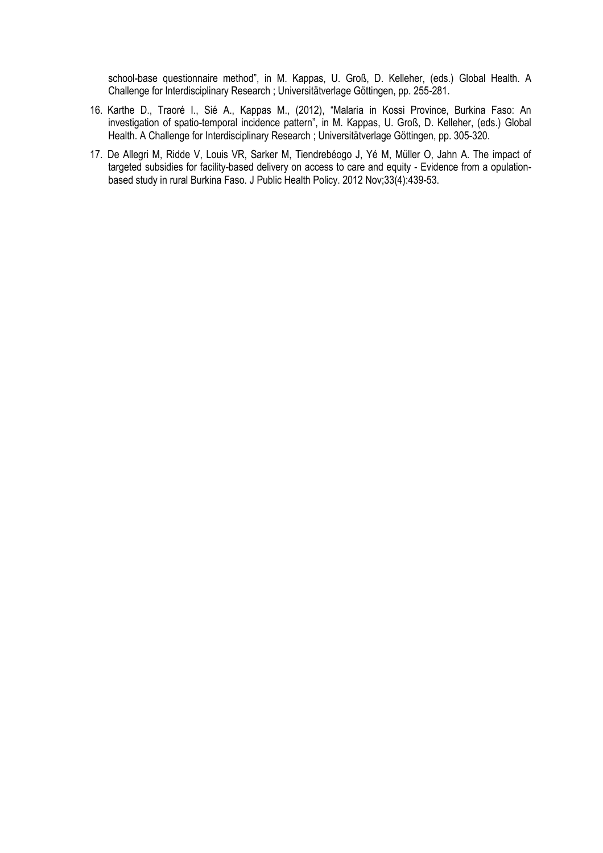school-base questionnaire method", in M. Kappas, U. Groß, D. Kelleher, (eds.) Global Health. A Challenge for Interdisciplinary Research ; Universitätverlage Göttingen, pp. 255-281.

- 16. Karthe D., Traoré I., Sié A., Kappas M., (2012), "Malaria in Kossi Province, Burkina Faso: An investigation of spatio-temporal incidence pattern", in M. Kappas, U. Groß, D. Kelleher, (eds.) Global Health. A Challenge for Interdisciplinary Research ; Universitätverlage Göttingen, pp. 305-320.
- 17. De Allegri M, Ridde V, Louis VR, Sarker M, Tiendrebéogo J, Yé M, Müller O, Jahn A. The impact of targeted subsidies for facility-based delivery on access to care and equity - Evidence from a opulationbased study in rural Burkina Faso. J Public Health Policy. 2012 Nov;33(4):439-53.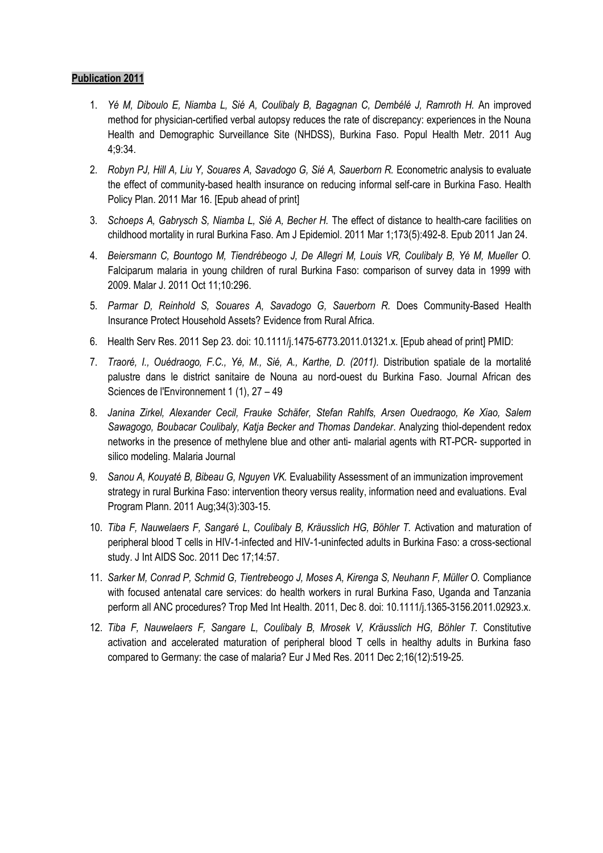- 1. *Yé M, Diboulo E, Niamba L, Sié A, Coulibaly B, Bagagnan C, Dembélé J, Ramroth H.* An improved method for physician-certified verbal autopsy reduces the rate of discrepancy: experiences in the Nouna Health and Demographic Surveillance Site (NHDSS), Burkina Faso. Popul Health Metr. 2011 Aug 4;9:34.
- 2. *Robyn PJ, Hill A, Liu Y, Souares A, Savadogo G, Sié A, Sauerborn R.* Econometric analysis to evaluate the effect of community-based health insurance on reducing informal self-care in Burkina Faso. Health Policy Plan. 2011 Mar 16. [Epub ahead of print]
- 3. *Schoeps A, Gabrysch S, Niamba L, Sié A, Becher H.* The effect of distance to health-care facilities on childhood mortality in rural Burkina Faso. Am J Epidemiol. 2011 Mar 1;173(5):492-8. Epub 2011 Jan 24.
- 4. *Beiersmann C, Bountogo M, Tiendrébeogo J, De Allegri M, Louis VR, Coulibaly B, Yé M, Mueller O.* Falciparum malaria in young children of rural Burkina Faso: comparison of survey data in 1999 with 2009. Malar J. 2011 Oct 11;10:296.
- 5. *Parmar D, Reinhold S, Souares A, Savadogo G, Sauerborn R.* Does Community-Based Health Insurance Protect Household Assets? Evidence from Rural Africa.
- 6. Health Serv Res. 2011 Sep 23. doi: 10.1111/j.1475-6773.2011.01321.x. [Epub ahead of print] PMID:
- 7. *Traoré, I., Ouédraogo, F.C., Yé, M., Sié, A., Karthe, D. (2011).* Distribution spatiale de la mortalité palustre dans le district sanitaire de Nouna au nord-ouest du Burkina Faso. Journal African des Sciences de l'Environnement 1 (1), 27 – 49
- 8. *Janina Zirkel, Alexander Cecil, Frauke Schäfer, Stefan Rahlfs, Arsen Ouedraogo, Ke Xiao, Salem Sawagogo, Boubacar Coulibaly, Katja Becker and Thomas Dandekar*. Analyzing thiol-dependent redox networks in the presence of methylene blue and other anti- malarial agents with RT-PCR- supported in silico modeling. Malaria Journal
- 9. *Sanou A, Kouyaté B, Bibeau G, Nguyen VK.* Evaluability Assessment of an immunization improvement strategy in rural Burkina Faso: intervention theory versus reality, information need and evaluations. Eval Program Plann. 2011 Aug;34(3):303-15.
- 10. *Tiba F, Nauwelaers F, Sangaré L, Coulibaly B, Kräusslich HG, Böhler T.* Activation and maturation of peripheral blood T cells in HIV-1-infected and HIV-1-uninfected adults in Burkina Faso: a cross-sectional study. J Int AIDS Soc. 2011 Dec 17;14:57.
- 11. *Sarker M, Conrad P, Schmid G, Tientrebeogo J, Moses A, Kirenga S, Neuhann F, Müller O.* Compliance with focused antenatal care services: do health workers in rural Burkina Faso, Uganda and Tanzania perform all ANC procedures? Trop Med Int Health. 2011, Dec 8. doi: 10.1111/j.1365-3156.2011.02923.x.
- 12. *Tiba F, Nauwelaers F, Sangare L, Coulibaly B, Mrosek V, Kräusslich HG, Böhler T.* Constitutive activation and accelerated maturation of peripheral blood T cells in healthy adults in Burkina faso compared to Germany: the case of malaria? Eur J Med Res. 2011 Dec 2;16(12):519-25.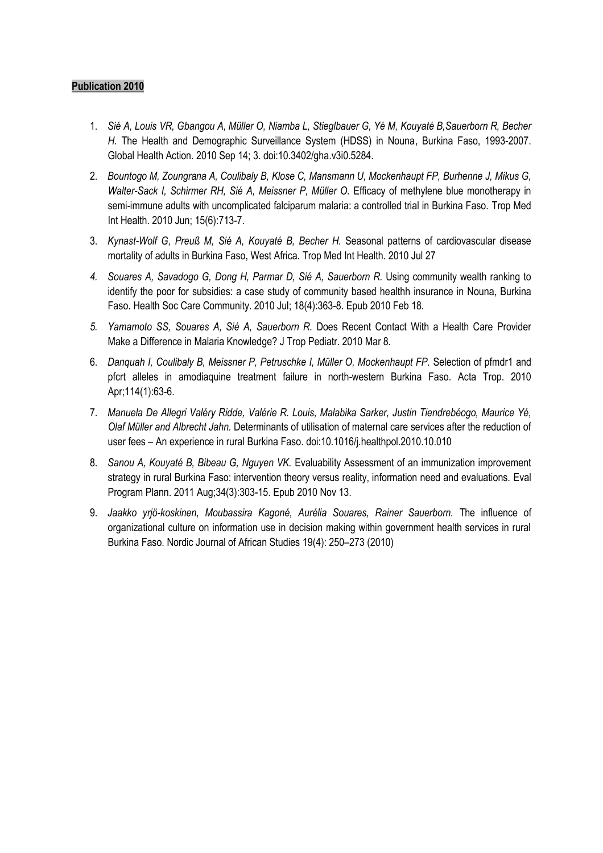- 1. *Sié A, Louis VR, Gbangou A, Müller O, Niamba L, Stieglbauer G, Yé M, Kouyaté B,Sauerborn R, Becher H.* The Health and Demographic Surveillance System (HDSS) in Nouna, Burkina Faso, 1993-2007. Global Health Action. 2010 Sep 14; 3. doi:10.3402/gha.v3i0.5284.
- 2. *Bountogo M, Zoungrana A, Coulibaly B, Klose C, Mansmann U, Mockenhaupt FP, Burhenne J, Mikus G, Walter-Sack I, Schirmer RH, Sié A, Meissner P, Müller O.* Efficacy of methylene blue monotherapy in semi-immune adults with uncomplicated falciparum malaria: a controlled trial in Burkina Faso. Trop Med Int Health. 2010 Jun; 15(6):713-7.
- 3. *Kynast-Wolf G, Preuß M, Sié A, Kouyaté B, Becher H.* Seasonal patterns of cardiovascular disease mortality of adults in Burkina Faso, West Africa. Trop Med Int Health. 2010 Jul 27
- *4. Souares A, Savadogo G, Dong H, Parmar D, Sié A, Sauerborn R.* Using community wealth ranking to identify the poor for subsidies: a case study of community based healthh insurance in Nouna, Burkina Faso. Health Soc Care Community. 2010 Jul; 18(4):363-8. Epub 2010 Feb 18*.*
- *5. Yamamoto SS, Souares A, Sié A, Sauerborn R.* Does Recent Contact With a Health Care Provider Make a Difference in Malaria Knowledge? J Trop Pediatr. 2010 Mar 8*.*
- 6. *Danquah I, Coulibaly B, Meissner P, Petruschke I, Müller O, Mockenhaupt FP.* Selection of pfmdr1 and pfcrt alleles in amodiaquine treatment failure in north-western Burkina Faso. Acta Trop. 2010 Apr;114(1):63-6.
- 7. *Manuela De Allegri Valéry Ridde, Valérie R. Louis, Malabika Sarker, Justin Tiendrebéogo, Maurice Yé, Olaf Müller and Albrecht Jahn.* Determinants of utilisation of maternal care services after the reduction of user fees – An experience in rural Burkina Faso. doi:10*.*1016/j*.*healthpol.2010.10.010
- 8. *Sanou A, Kouyaté B, Bibeau G, Nguyen VK.* Evaluability Assessment of an immunization improvement strategy in rural Burkina Faso: intervention theory versus reality, information need and evaluations. Eval Program Plann. 2011 Aug;34(3):303-15. Epub 2010 Nov 13.
- 9. *Jaakko yrjö-koskinen, Moubassira Kagoné, Aurélia Souares, Rainer Sauerborn.* The influence of organizational culture on information use in decision making within government health services in rural Burkina Faso. Nordic Journal of African Studies 19(4): 250–273 (2010)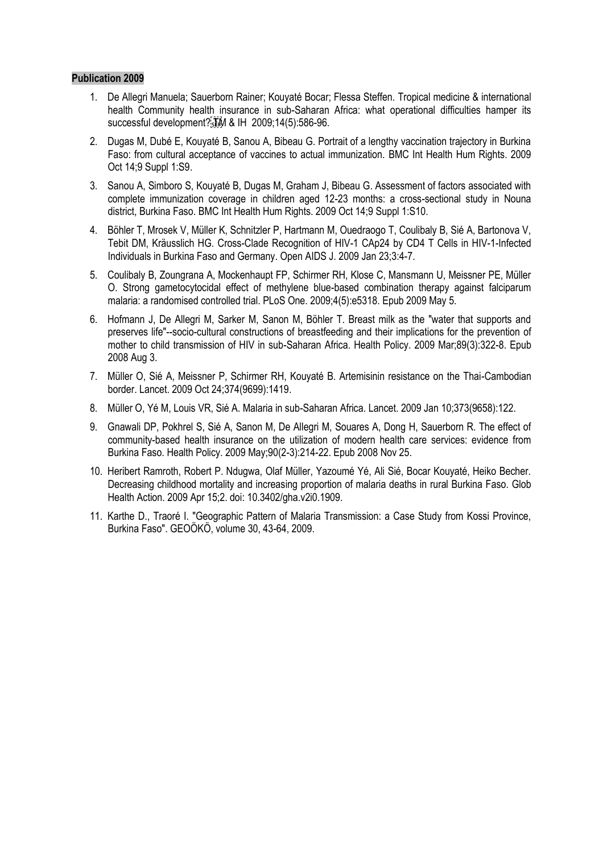- 1. De Allegri Manuela; Sauerborn Rainer; Kouyaté Bocar; Flessa Steffen. Tropical medicine & international health Community health insurance in sub-Saharan Africa: what operational difficulties hamper its successful development? $\frac{1}{15}$ M & IH 2009;14(5):586-96.
- 2. Dugas M, Dubé E, Kouyaté B, Sanou A, Bibeau G. Portrait of a lengthy vaccination trajectory in Burkina Faso: from cultural acceptance of vaccines to actual immunization. BMC Int Health Hum Rights. 2009 Oct 14;9 Suppl 1:S9.
- 3. Sanou A, Simboro S, Kouyaté B, Dugas M, Graham J, Bibeau G. Assessment of factors associated with complete immunization coverage in children aged 12-23 months: a cross-sectional study in Nouna district, Burkina Faso. BMC Int Health Hum Rights. 2009 Oct 14;9 Suppl 1:S10.
- 4. Böhler T, Mrosek V, Müller K, Schnitzler P, Hartmann M, Ouedraogo T, Coulibaly B, Sié A, Bartonova V, Tebit DM, Kräusslich HG. Cross-Clade Recognition of HIV-1 CAp24 by CD4 T Cells in HIV-1-Infected Individuals in Burkina Faso and Germany. Open AIDS J. 2009 Jan 23;3:4-7.
- 5. Coulibaly B, Zoungrana A, Mockenhaupt FP, Schirmer RH, Klose C, Mansmann U, Meissner PE, Müller O. Strong gametocytocidal effect of methylene blue-based combination therapy against falciparum malaria: a randomised controlled trial. PLoS One. 2009;4(5):e5318. Epub 2009 May 5.
- 6. Hofmann J, De Allegri M, Sarker M, Sanon M, Böhler T. Breast milk as the "water that supports and preserves life"--socio-cultural constructions of breastfeeding and their implications for the prevention of mother to child transmission of HIV in sub-Saharan Africa. Health Policy. 2009 Mar;89(3):322-8. Epub 2008 Aug 3.
- 7. Müller O, Sié A, Meissner P, Schirmer RH, Kouyaté B. Artemisinin resistance on the Thai-Cambodian border. Lancet. 2009 Oct 24;374(9699):1419.
- 8. Müller O, Yé M, Louis VR, Sié A. Malaria in sub-Saharan Africa. Lancet. 2009 Jan 10;373(9658):122.
- 9. Gnawali DP, Pokhrel S, Sié A, Sanon M, De Allegri M, Souares A, Dong H, Sauerborn R. The effect of community-based health insurance on the utilization of modern health care services: evidence from Burkina Faso. Health Policy. 2009 May;90(2-3):214-22. Epub 2008 Nov 25.
- 10. Heribert Ramroth, Robert P. Ndugwa, Olaf Müller, Yazoumé Yé, Ali Sié, Bocar Kouyaté, Heiko Becher. Decreasing childhood mortality and increasing proportion of malaria deaths in rural Burkina Faso. Glob Health Action. 2009 Apr 15;2. doi: 10.3402/gha.v2i0.1909.
- 11. Karthe D., Traoré I. "Geographic Pattern of Malaria Transmission: a Case Study from Kossi Province, Burkina Faso". GEOÖKÖ, volume 30, 43-64, 2009.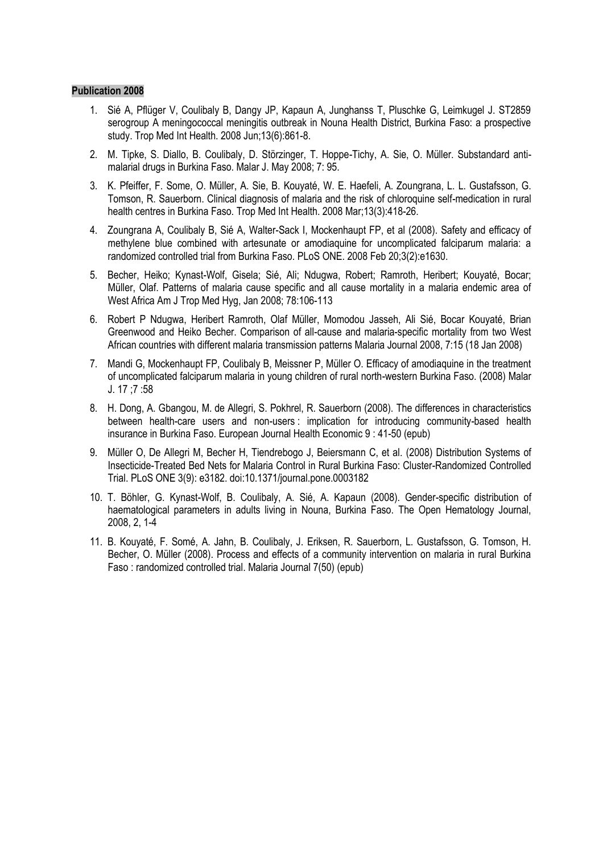- 1. Sié A, Pflüger V, Coulibaly B, Dangy JP, Kapaun A, Junghanss T, Pluschke G, Leimkugel J. ST2859 serogroup A meningococcal meningitis outbreak in Nouna Health District, Burkina Faso: a prospective study. Trop Med Int Health. 2008 Jun;13(6):861-8.
- 2. M. Tipke, S. Diallo, B. Coulibaly, D. Störzinger, T. Hoppe-Tichy, A. Sie, O. Müller. Substandard antimalarial drugs in Burkina Faso. Malar J. May 2008; 7: 95.
- 3. K. Pfeiffer, F. Some, O. Müller, A. Sie, B. Kouyaté, W. E. Haefeli, A. Zoungrana, L. L. Gustafsson, G. Tomson, R. Sauerborn. Clinical diagnosis of malaria and the risk of chloroquine self-medication in rural health centres in Burkina Faso. Trop Med Int Health. 2008 Mar;13(3):418-26.
- 4. Zoungrana A, Coulibaly B, Sié A, Walter-Sack I, Mockenhaupt FP, et al (2008). Safety and efficacy of methylene blue combined with artesunate or amodiaquine for uncomplicated falciparum malaria: a randomized controlled trial from Burkina Faso. PLoS ONE. 2008 Feb 20;3(2):e1630.
- 5. Becher, Heiko; Kynast-Wolf, Gisela; Sié, Ali; Ndugwa, Robert; Ramroth, Heribert; Kouyaté, Bocar; Müller, Olaf. Patterns of malaria cause specific and all cause mortality in a malaria endemic area of West Africa Am J Trop Med Hyg, Jan 2008; 78:106-113
- 6. Robert P Ndugwa, Heribert Ramroth, Olaf Müller, Momodou Jasseh, Ali Sié, Bocar Kouyaté, Brian Greenwood and Heiko Becher. Comparison of all-cause and malaria-specific mortality from two West African countries with different malaria transmission patterns Malaria Journal 2008, 7:15 (18 Jan 2008)
- 7. Mandi G, Mockenhaupt FP, Coulibaly B, Meissner P, Müller O. Efficacy of amodiaquine in the treatment of uncomplicated falciparum malaria in young children of rural north-western Burkina Faso. (2008) Malar J. 17 ;7 :58
- 8. H. Dong, A. Gbangou, M. de Allegri, S. Pokhrel, R. Sauerborn (2008). The differences in characteristics between health-care users and non-users : implication for introducing community-based health insurance in Burkina Faso. European Journal Health Economic 9 : 41-50 (epub)
- 9. Müller O, De Allegri M, Becher H, Tiendrebogo J, Beiersmann C, et al. (2008) Distribution Systems of Insecticide-Treated Bed Nets for Malaria Control in Rural Burkina Faso: Cluster-Randomized Controlled Trial. PLoS ONE 3(9): e3182. doi:10.1371/journal.pone.0003182
- 10. T. Böhler, G. Kynast-Wolf, B. Coulibaly, A. Sié, A. Kapaun (2008). Gender-specific distribution of haematological parameters in adults living in Nouna, Burkina Faso. The Open Hematology Journal, 2008, 2, 1-4
- 11. B. Kouyaté, F. Somé, A. Jahn, B. Coulibaly, J. Eriksen, R. Sauerborn, L. Gustafsson, G. Tomson, H. Becher, O. Müller (2008). Process and effects of a community intervention on malaria in rural Burkina Faso : randomized controlled trial. Malaria Journal 7(50) (epub)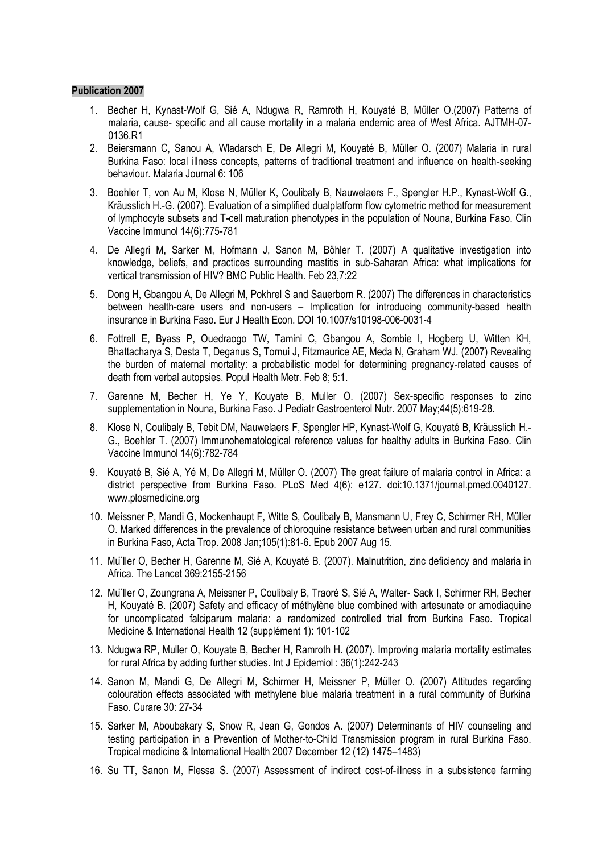- 1. Becher H, Kynast-Wolf G, Sié A, Ndugwa R, Ramroth H, Kouyaté B, Müller O.(2007) Patterns of malaria, cause- specific and all cause mortality in a malaria endemic area of West Africa. AJTMH-07- 0136.R1
- 2. Beiersmann C, Sanou A, Wladarsch E, De Allegri M, Kouyaté B, Müller O. (2007) Malaria in rural Burkina Faso: local illness concepts, patterns of traditional treatment and influence on health-seeking behaviour. Malaria Journal 6: 106
- 3. Boehler T, von Au M, Klose N, Müller K, Coulibaly B, Nauwelaers F., Spengler H.P., Kynast-Wolf G., Kräusslich H.-G. (2007). Evaluation of a simplified dualplatform flow cytometric method for measurement of lymphocyte subsets and T-cell maturation phenotypes in the population of Nouna, Burkina Faso. Clin Vaccine Immunol 14(6):775-781
- 4. De Allegri M, Sarker M, Hofmann J, Sanon M, Böhler T. (2007) A qualitative investigation into knowledge, beliefs, and practices surrounding mastitis in sub-Saharan Africa: what implications for vertical transmission of HIV? BMC Public Health. Feb 23,7:22
- 5. Dong H, Gbangou A, De Allegri M, Pokhrel S and Sauerborn R. (2007) The differences in characteristics between health-care users and non-users – Implication for introducing community-based health insurance in Burkina Faso. Eur J Health Econ. DOI 10.1007/s10198-006-0031-4
- 6. Fottrell E, Byass P, Ouedraogo TW, Tamini C, Gbangou A, Sombie I, Hogberg U, Witten KH, Bhattacharya S, Desta T, Deganus S, Tornui J, Fitzmaurice AE, Meda N, Graham WJ. (2007) Revealing the burden of maternal mortality: a probabilistic model for determining pregnancy-related causes of death from verbal autopsies. Popul Health Metr. Feb 8; 5:1.
- 7. Garenne M, Becher H, Ye Y, Kouyate B, Muller O. (2007) Sex-specific responses to zinc supplementation in Nouna, Burkina Faso. J Pediatr Gastroenterol Nutr. 2007 May;44(5):619-28.
- 8. Klose N, Coulibaly B, Tebit DM, Nauwelaers F, Spengler HP, Kynast-Wolf G, Kouyaté B, Kräusslich H.- G., Boehler T. (2007) Immunohematological reference values for healthy adults in Burkina Faso. Clin Vaccine Immunol 14(6):782-784
- 9. Kouyaté B, Sié A, Yé M, De Allegri M, Müller O. (2007) The great failure of malaria control in Africa: a district perspective from Burkina Faso. PLoS Med 4(6): e127. doi:10.1371/journal.pmed.0040127. www.plosmedicine.org
- 10. Meissner P, Mandi G, Mockenhaupt F, Witte S, Coulibaly B, Mansmann U, Frey C, Schirmer RH, Müller O. Marked differences in the prevalence of chloroquine resistance between urban and rural communities in Burkina Faso, Acta Trop. 2008 Jan;105(1):81-6. Epub 2007 Aug 15.
- 11. Müller O, Becher H, Garenne M, Sié A, Kouyaté B. (2007). Malnutrition, zinc deficiency and malaria in Africa. The Lancet 369:2155-2156
- 12. Müller O, Zoungrana A, Meissner P, Coulibaly B, Traoré S, Sié A, Walter- Sack I, Schirmer RH, Becher H, Kouyaté B. (2007) Safety and efficacy of méthylène blue combined with artesunate or amodiaquine for uncomplicated falciparum malaria: a randomized controlled trial from Burkina Faso. Tropical Medicine & International Health 12 (supplément 1): 101-102
- 13. Ndugwa RP, Muller O, Kouyate B, Becher H, Ramroth H. (2007). Improving malaria mortality estimates for rural Africa by adding further studies. Int J Epidemiol : 36(1):242-243
- 14. Sanon M, Mandi G, De Allegri M, Schirmer H, Meissner P, Müller O. (2007) Attitudes regarding colouration effects associated with methylene blue malaria treatment in a rural community of Burkina Faso. Curare 30: 27-34
- 15. Sarker M, Aboubakary S, Snow R, Jean G, Gondos A. (2007) Determinants of HIV counseling and testing participation in a Prevention of Mother-to-Child Transmission program in rural Burkina Faso. Tropical medicine & International Health 2007 December 12 (12) 1475–1483)
- 16. Su TT, Sanon M, Flessa S. (2007) Assessment of indirect cost-of-illness in a subsistence farming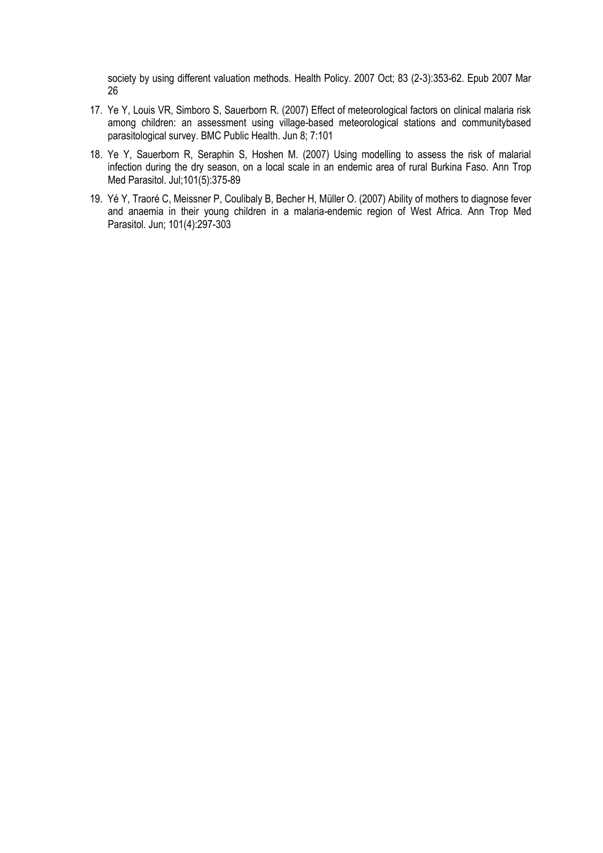society by using different valuation methods. Health Policy. 2007 Oct; 83 (2-3):353-62. Epub 2007 Mar 26

- 17. Ye Y, Louis VR, Simboro S, Sauerborn R. (2007) Effect of meteorological factors on clinical malaria risk among children: an assessment using village-based meteorological stations and communitybased parasitological survey. BMC Public Health. Jun 8; 7:101
- 18. Ye Y, Sauerborn R, Seraphin S, Hoshen M. (2007) Using modelling to assess the risk of malarial infection during the dry season, on a local scale in an endemic area of rural Burkina Faso. Ann Trop Med Parasitol. Jul;101(5):375-89
- 19. Yé Y, Traoré C, Meissner P, Coulibaly B, Becher H, Müller O. (2007) Ability of mothers to diagnose fever and anaemia in their young children in a malaria-endemic region of West Africa. Ann Trop Med Parasitol. Jun; 101(4):297-303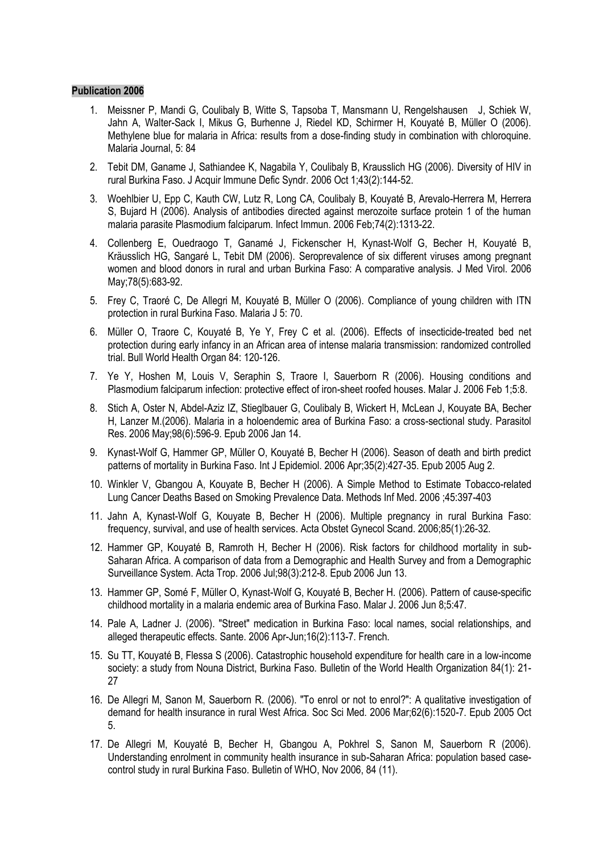- 1. Meissner P, Mandi G, Coulibaly B, Witte S, Tapsoba T, Mansmann U, Rengelshausen J, Schiek W, Jahn A, Walter-Sack I, Mikus G, Burhenne J, Riedel KD, Schirmer H, Kouyaté B, Müller O (2006). Methylene blue for malaria in Africa: results from a dose-finding study in combination with chloroquine. Malaria Journal, 5: 84
- 2. Tebit DM, Ganame J, Sathiandee K, Nagabila Y, Coulibaly B, Krausslich HG (2006). Diversity of HIV in rural Burkina Faso. J Acquir Immune Defic Syndr. 2006 Oct 1;43(2):144-52.
- 3. Woehlbier U, Epp C, Kauth CW, Lutz R, Long CA, Coulibaly B, Kouyaté B, Arevalo-Herrera M, Herrera S, Bujard H (2006). Analysis of antibodies directed against merozoite surface protein 1 of the human malaria parasite Plasmodium falciparum. Infect Immun. 2006 Feb;74(2):1313-22.
- 4. Collenberg E, Ouedraogo T, Ganamé J, Fickenscher H, Kynast-Wolf G, Becher H, Kouyaté B, Kräusslich HG, Sangaré L, Tebit DM (2006). Seroprevalence of six different viruses among pregnant women and blood donors in rural and urban Burkina Faso: A comparative analysis. J Med Virol. 2006 May;78(5):683-92.
- 5. Frey C, Traoré C, De Allegri M, Kouyaté B, Müller O (2006). Compliance of young children with ITN protection in rural Burkina Faso. Malaria J 5: 70.
- 6. Müller O, Traore C, Kouyaté B, Ye Y, Frey C et al. (2006). Effects of insecticide-treated bed net protection during early infancy in an African area of intense malaria transmission: randomized controlled trial. Bull World Health Organ 84: 120-126.
- 7. [Ye Y, Hoshen M, Louis V, Seraphin S, Traore I, Sauerborn R](http://www.ncbi.nlm.nih.gov/sites/entrez?Db=pubmed&Cmd=ShowDetailView&TermToSearch=16451729&ordinalpos=2&itool=EntrezSystem2.PEntrez.Pubmed.Pubmed_ResultsPanel.Pubmed_RVDocSum) (2006). Housing conditions and Plasmodium falciparum infection: protective effect of iron-sheet roofed houses. Malar J. 2006 Feb 1;5:8.
- 8. [Stich A,](http://www.ncbi.nlm.nih.gov/entrez/query.fcgi?db=pubmed&cmd=Search&itool=pubmed_Abstract&term=%22Stich+A%22%5BAuthor%5D) [Oster N,](http://www.ncbi.nlm.nih.gov/entrez/query.fcgi?db=pubmed&cmd=Search&itool=pubmed_Abstract&term=%22Oster+N%22%5BAuthor%5D) [Abdel-Aziz IZ,](http://www.ncbi.nlm.nih.gov/entrez/query.fcgi?db=pubmed&cmd=Search&itool=pubmed_Abstract&term=%22Abdel%2DAziz+IZ%22%5BAuthor%5D) [Stieglbauer G,](http://www.ncbi.nlm.nih.gov/entrez/query.fcgi?db=pubmed&cmd=Search&itool=pubmed_Abstract&term=%22Stieglbauer+G%22%5BAuthor%5D) [Coulibaly B,](http://www.ncbi.nlm.nih.gov/entrez/query.fcgi?db=pubmed&cmd=Search&itool=pubmed_Abstract&term=%22Coulibaly+B%22%5BAuthor%5D) [Wickert H,](http://www.ncbi.nlm.nih.gov/entrez/query.fcgi?db=pubmed&cmd=Search&itool=pubmed_Abstract&term=%22Wickert+H%22%5BAuthor%5D) [McLean J,](http://www.ncbi.nlm.nih.gov/entrez/query.fcgi?db=pubmed&cmd=Search&itool=pubmed_Abstract&term=%22McLean+J%22%5BAuthor%5D) [Kouyate BA,](http://www.ncbi.nlm.nih.gov/entrez/query.fcgi?db=pubmed&cmd=Search&itool=pubmed_Abstract&term=%22Kouyate+BA%22%5BAuthor%5D) [Becher](http://www.ncbi.nlm.nih.gov/entrez/query.fcgi?db=pubmed&cmd=Search&itool=pubmed_Abstract&term=%22Becher+H%22%5BAuthor%5D)  [H,](http://www.ncbi.nlm.nih.gov/entrez/query.fcgi?db=pubmed&cmd=Search&itool=pubmed_Abstract&term=%22Becher+H%22%5BAuthor%5D) [Lanzer M.\(](http://www.ncbi.nlm.nih.gov/entrez/query.fcgi?db=pubmed&cmd=Search&itool=pubmed_Abstract&term=%22Lanzer+M%22%5BAuthor%5D)2006). Malaria in a holoendemic area of Burkina Faso: a cross-sectional study. Parasitol Res. 2006 May;98(6):596-9. Epub 2006 Jan 14.
- 9. Kynast-Wolf G, Hammer GP, Müller O, Kouyaté B, Becher H (2006). Season of death and birth predict patterns of mortality in Burkina Faso. Int J Epidemiol. 2006 Apr;35(2):427-35. Epub 2005 Aug 2.
- 10. [Winkler V, Gbangou A,](/auth:Winkler,V) [Kouyate B, B](/auth:Kouyate,B)echer H (2006). A Simple Method to Estimate Tobacco-related Lung Cancer Deaths Based on Smoking Prevalence Data. Methods Inf Med. 2006 ;45:397-403
- 11. [Jahn A,](http://www.ncbi.nlm.nih.gov/entrez/query.fcgi?db=pubmed&cmd=Search&itool=pubmed_Abstract&term=%22Jahn+A%22%5BAuthor%5D) [Kynast-Wolf G,](http://www.ncbi.nlm.nih.gov/entrez/query.fcgi?db=pubmed&cmd=Search&itool=pubmed_Abstract&term=%22Kynast%2DWolf+G%22%5BAuthor%5D) [Kouyate B,](http://www.ncbi.nlm.nih.gov/entrez/query.fcgi?db=pubmed&cmd=Search&itool=pubmed_Abstract&term=%22Kouyate+B%22%5BAuthor%5D) [Becher H](http://www.ncbi.nlm.nih.gov/entrez/query.fcgi?db=pubmed&cmd=Search&itool=pubmed_Abstract&term=%22Becher+H%22%5BAuthor%5D) (2006). Multiple pregnancy in rural Burkina Faso: frequency, survival, and use of health services. Acta Obstet Gynecol Scand. 2006;85(1):26-32.
- 12. [Hammer GP, Kouyaté B, Ramroth H, Becher H](http://www.ncbi.nlm.nih.gov/sites/entrez?Db=pubmed&Cmd=ShowDetailView&TermToSearch=16777046&ordinalpos=13&itool=EntrezSystem2.PEntrez.Pubmed.Pubmed_ResultsPanel.Pubmed_RVDocSum) (2006). Risk factors for childhood mortality in sub-Saharan Africa. A comparison of data from a Demographic and Health Survey and from a Demographic Surveillance System. Acta Trop. 2006 Jul;98(3):212-8. Epub 2006 Jun 13.
- 13. [Hammer GP, Somé F, Müller O, Kynast-Wolf G, Kouyaté B, Becher H.](http://www.ncbi.nlm.nih.gov/sites/entrez?Db=pubmed&Cmd=ShowDetailView&TermToSearch=16762069&ordinalpos=10&itool=EntrezSystem2.PEntrez.Pubmed.Pubmed_ResultsPanel.Pubmed_RVDocSum) (2006). Pattern of cause-specific childhood mortality in a malaria endemic area of Burkina Faso. Malar J. 2006 Jun 8;5:47.
- 14. [Pale A, Ladner J.](http://www.ncbi.nlm.nih.gov/sites/entrez?Db=pubmed&Cmd=ShowDetailView&TermToSearch=17116635&ordinalpos=6&itool=EntrezSystem2.PEntrez.Pubmed.Pubmed_ResultsPanel.Pubmed_RVDocSum) (2006). "Street" medication in Burkina Faso: local names, social relationships, and alleged therapeutic effects. Sante. 2006 Apr-Jun;16(2):113-7. French.
- 15. Su TT, Kouyaté B, Flessa S (2006). Catastrophic household expenditure for health care in a low-income society: a study from Nouna District, Burkina Faso. Bulletin of the World Health Organization 84(1): 21- 27
- 16. [De Allegri M, Sanon M, Sauerborn R.](http://www.ncbi.nlm.nih.gov/sites/entrez?Db=pubmed&Cmd=ShowDetailView&TermToSearch=16169645&ordinalpos=2&itool=EntrezSystem2.PEntrez.Pubmed.Pubmed_ResultsPanel.Pubmed_RVDocSum) (2006). "To enrol or not to enrol?": A qualitative investigation of demand for health insurance in rural West Africa. Soc Sci Med. 2006 Mar;62(6):1520-7. Epub 2005 Oct 5.
- 17. De Allegri M, Kouyaté B, Becher H, Gbangou A, Pokhrel S, Sanon M, Sauerborn R (2006). Understanding enrolment in community health insurance in sub-Saharan Africa: population based casecontrol study in rural Burkina Faso. Bulletin of WHO, Nov 2006, 84 (11).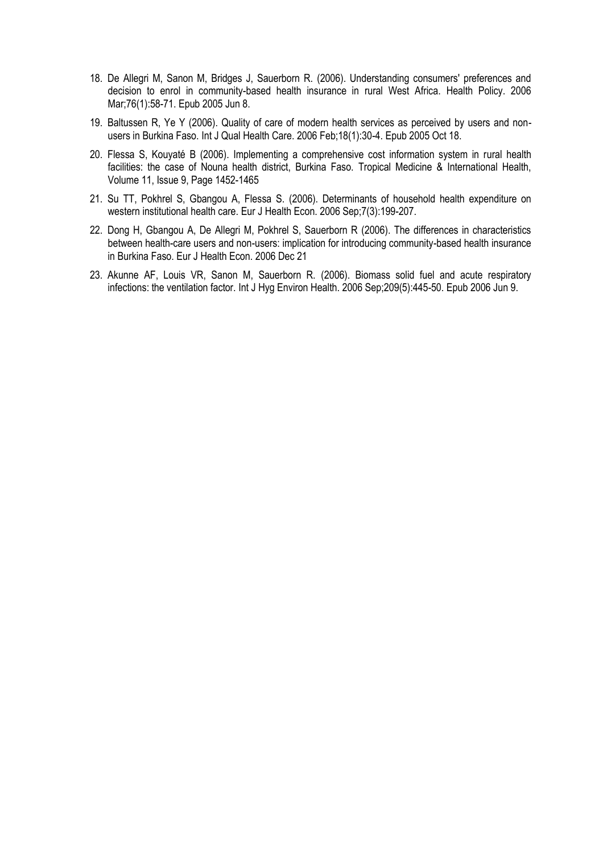- 18. [De Allegri M, Sanon M, Bridges J, Sauerborn R.](http://www.ncbi.nlm.nih.gov/sites/entrez?Db=pubmed&Cmd=ShowDetailView&TermToSearch=15946762&ordinalpos=3&itool=EntrezSystem2.PEntrez.Pubmed.Pubmed_ResultsPanel.Pubmed_RVDocSum) (2006). Understanding consumers' preferences and decision to enrol in community-based health insurance in rural West Africa. Health Policy. 2006 Mar;76(1):58-71. Epub 2005 Jun 8.
- 19. Baltussen R, Ye Y (2006). Quality of care of modern health services as perceived by users and nonusers in Burkina Faso. Int J Qual Health Care. 2006 Feb;18(1):30-4. Epub 2005 Oct 18.
- 20. Flessa S, Kouyaté B (2006). Implementing a comprehensive cost information system in rural health facilities: the case of Nouna health district, Burkina Faso. Tropical Medicine & International Health, Volume 11, Issue 9, Page 1452-1465
- 21. [Su TT, Pokhrel S, Gbangou A, Flessa S.](http://www.ncbi.nlm.nih.gov/sites/entrez?Db=pubmed&Cmd=ShowDetailView&TermToSearch=16673075&ordinalpos=2&itool=EntrezSystem2.PEntrez.Pubmed.Pubmed_ResultsPanel.Pubmed_RVDocSum) (2006). Determinants of household health expenditure on western institutional health care. Eur J Health Econ. 2006 Sep;7(3):199-207.
- 22. [Dong H, Gbangou A, De Allegri M, Pokhrel S, Sauerborn R](http://www.ncbi.nlm.nih.gov/sites/entrez?Db=pubmed&Cmd=ShowDetailView&TermToSearch=17186201&ordinalpos=2&itool=EntrezSystem2.PEntrez.Pubmed.Pubmed_ResultsPanel.Pubmed_RVDocSum) (2006). The differences in characteristics between health-care users and non-users: implication for introducing community-based health insurance in Burkina Faso. Eur J Health Econ. 2006 Dec 21
- 23. [Akunne AF, Louis VR, Sanon M, Sauerborn R.](http://www.ncbi.nlm.nih.gov/sites/entrez?Db=pubmed&Cmd=ShowDetailView&TermToSearch=16765087&ordinalpos=5&itool=EntrezSystem2.PEntrez.Pubmed.Pubmed_ResultsPanel.Pubmed_RVDocSum) (2006). Biomass solid fuel and acute respiratory infections: the ventilation factor. Int J Hyg Environ Health. 2006 Sep;209(5):445-50. Epub 2006 Jun 9.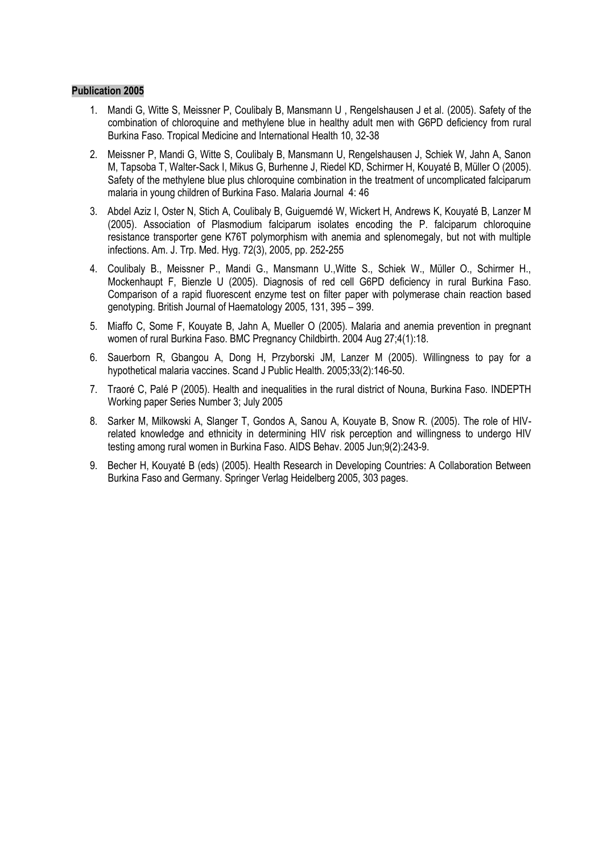- 1. Mandi G, Witte S, Meissner P, Coulibaly B, Mansmann U , Rengelshausen J et al. (2005). Safety of the combination of chloroquine and methylene blue in healthy adult men with G6PD deficiency from rural Burkina Faso. Tropical Medicine and International Health 10, 32-38
- 2. Meissner P, Mandi G, Witte S, Coulibaly B, Mansmann U, Rengelshausen J, Schiek W, Jahn A, Sanon M, Tapsoba T, Walter-Sack I, Mikus G, Burhenne J, Riedel KD, Schirmer H, Kouyaté B, Müller O (2005). Safety of the methylene blue plus chloroquine combination in the treatment of uncomplicated falciparum malaria in young children of Burkina Faso. Malaria Journal 4: 46
- 3. Abdel Aziz I, Oster N, Stich A, Coulibaly B, Guiguemdé W, Wickert H, Andrews K, Kouyaté B, Lanzer M (2005). Association of Plasmodium falciparum isolates encoding the P. falciparum chloroquine resistance transporter gene K76T polymorphism with anemia and splenomegaly, but not with multiple infections. Am. J. Trp. Med. Hyg. 72(3), 2005, pp. 252-255
- 4. Coulibaly B., Meissner P., Mandi G., Mansmann U.,Witte S., Schiek W., Müller O., Schirmer H., Mockenhaupt F, Bienzle U (2005). Diagnosis of red cell G6PD deficiency in rural Burkina Faso. Comparison of a rapid fluorescent enzyme test on filter paper with polymerase chain reaction based genotyping. British Journal of Haematology 2005, 131, 395 – 399.
- 5. Miaffo C, Some F, Kouyate B, Jahn A, Mueller O (2005). Malaria and anemia prevention in pregnant women of rural Burkina Faso. BMC Pregnancy Childbirth. 2004 Aug 27;4(1):18.
- 6. Sauerborn R, Gbangou A, Dong H, Przyborski JM, Lanzer M (2005). Willingness to pay for a hypothetical malaria vaccines. Scand J Public Health. 2005;33(2):146-50.
- 7. Traoré C, Palé P (2005). Health and inequalities in the rural district of Nouna, Burkina Faso. INDEPTH Working paper Series Number 3; July 2005
- 8. Sarker M, Milkowski A, Slanger T, Gondos A, Sanou A, Kouyate B, Snow R. (2005). The role of HIVrelated knowledge and ethnicity in determining HIV risk perception and willingness to undergo HIV testing among rural women in Burkina Faso. AIDS Behav. 2005 Jun;9(2):243-9.
- 9. Becher H, Kouyaté B (eds) (2005). Health Research in Developing Countries: A Collaboration Between Burkina Faso and Germany. Springer Verlag Heidelberg 2005, 303 pages.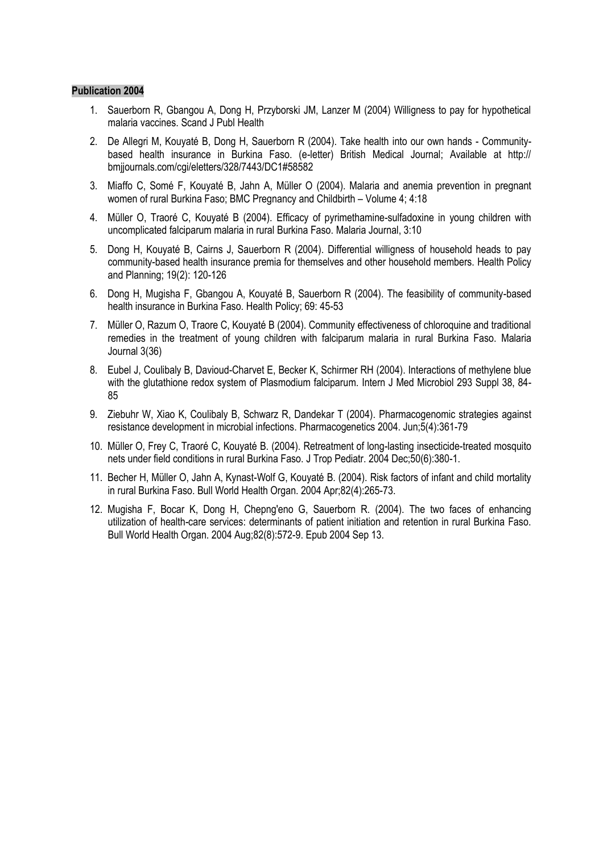- 1. Sauerborn R, Gbangou A, Dong H, Przyborski JM, Lanzer M (2004) Willigness to pay for hypothetical malaria vaccines. Scand J Publ Health
- 2. De Allegri M, Kouyaté B, Dong H, Sauerborn R (2004). Take health into our own hands Communitybased health insurance in Burkina Faso. (e-letter) British Medical Journal; Available at http:// bmjjournals.com/cgi/eletters/328/7443/DC1#58582
- 3. Miaffo C, Somé F, Kouyaté B, Jahn A, Müller O (2004). Malaria and anemia prevention in pregnant women of rural Burkina Faso; BMC Pregnancy and Childbirth – Volume 4; 4:18
- 4. Müller O, Traoré C, Kouyaté B (2004). Efficacy of pyrimethamine-sulfadoxine in young children with uncomplicated falciparum malaria in rural Burkina Faso. Malaria Journal, 3:10
- 5. Dong H, Kouyaté B, Cairns J, Sauerborn R (2004). Differential willigness of household heads to pay community-based health insurance premia for themselves and other household members. Health Policy and Planning; 19(2): 120-126
- 6. Dong H, Mugisha F, Gbangou A, Kouyaté B, Sauerborn R (2004). The feasibility of community-based health insurance in Burkina Faso. Health Policy; 69: 45-53
- 7. Müller O, Razum O, Traore C, Kouyaté B (2004). Community effectiveness of chloroquine and traditional remedies in the treatment of young children with falciparum malaria in rural Burkina Faso. Malaria Journal 3(36)
- 8. Eubel J, Coulibaly B, Davioud-Charvet E, Becker K, Schirmer RH (2004). Interactions of methylene blue with the glutathione redox system of Plasmodium falciparum. Intern J Med Microbiol 293 Suppl 38, 84- 85
- 9. Ziebuhr W, Xiao K, Coulibaly B, Schwarz R, Dandekar T (2004). Pharmacogenomic strategies against resistance development in microbial infections. Pharmacogenetics 2004. Jun;5(4):361-79
- 10. Müller O, Frey C, Traoré C, Kouyaté B. (2004). Retreatment of long-lasting insecticide-treated mosquito nets under field conditions in rural Burkina Faso. J Trop Pediatr. 2004 Dec;50(6):380-1.
- 11. Becher H, Müller O, Jahn A, Kynast-Wolf G, Kouyaté B. (2004). Risk factors of infant and child mortality in rural Burkina Faso. Bull World Health Organ. 2004 Apr;82(4):265-73.
- 12. [Mugisha F, Bocar K, Dong H, Chepng'eno G, Sauerborn R.](http://www.ncbi.nlm.nih.gov/sites/entrez?Db=pubmed&Cmd=ShowDetailView&TermToSearch=15375446&ordinalpos=6&itool=EntrezSystem2.PEntrez.Pubmed.Pubmed_ResultsPanel.Pubmed_RVDocSum) (2004). The two faces of enhancing utilization of health-care services: determinants of patient initiation and retention in rural Burkina Faso. Bull World Health Organ. 2004 Aug;82(8):572-9. Epub 2004 Sep 13.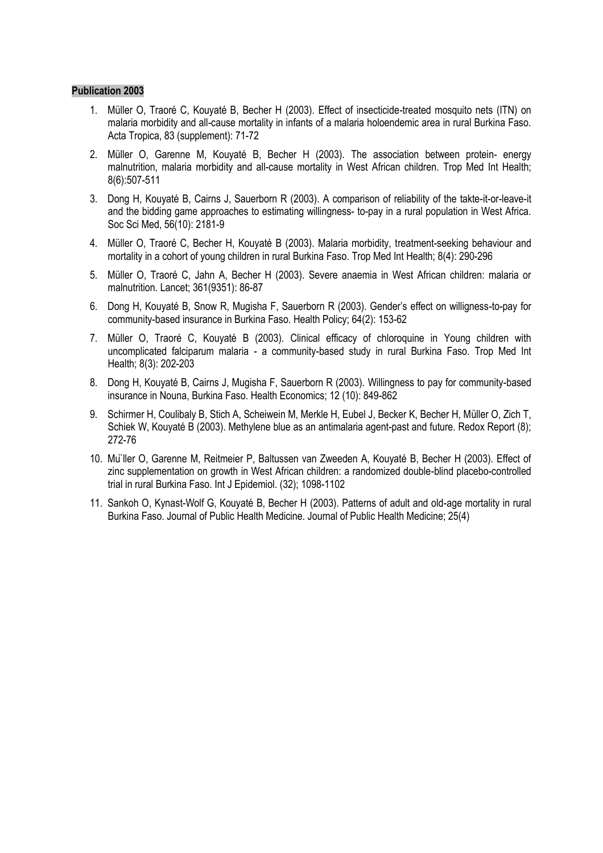- 1. Müller O, Traoré C, Kouyaté B, Becher H (2003). Effect of insecticide-treated mosquito nets (ITN) on malaria morbidity and all-cause mortality in infants of a malaria holoendemic area in rural Burkina Faso. Acta Tropica, 83 (supplement): 71-72
- 2. Müller O, Garenne M, Kouyaté B, Becher H (2003). The association between protein- energy malnutrition, malaria morbidity and all-cause mortality in West African children. Trop Med Int Health; 8(6):507-511
- 3. Dong H, Kouyaté B, Cairns J, Sauerborn R (2003). A comparison of reliability of the takte-it-or-leave-it and the bidding game approaches to estimating willingness- to-pay in a rural population in West Africa. Soc Sci Med, 56(10): 2181-9
- 4. Müller O, Traoré C, Becher H, Kouyaté B (2003). Malaria morbidity, treatment-seeking behaviour and mortality in a cohort of young children in rural Burkina Faso. Trop Med Int Health; 8(4): 290-296
- 5. Müller O, Traoré C, Jahn A, Becher H (2003). Severe anaemia in West African children: malaria or malnutrition. Lancet; 361(9351): 86-87
- 6. Dong H, Kouyaté B, Snow R, Mugisha F, Sauerborn R (2003). Gender's effect on willigness-to-pay for community-based insurance in Burkina Faso. Health Policy; 64(2): 153-62
- 7. Müller O, Traoré C, Kouyaté B (2003). Clinical efficacy of chloroquine in Young children with uncomplicated falciparum malaria - a community-based study in rural Burkina Faso. Trop Med Int Health; 8(3): 202-203
- 8. Dong H, Kouyaté B, Cairns J, Mugisha F, Sauerborn R (2003). Willingness to pay for community-based insurance in Nouna, Burkina Faso. Health Economics; 12 (10): 849-862
- 9. Schirmer H, Coulibaly B, Stich A, Scheiwein M, Merkle H, Eubel J, Becker K, Becher H, Müller O, Zich T, Schiek W, Kouyaté B (2003). Methylene blue as an antimalaria agent-past and future. Redox Report (8); 272-76
- 10. Müller O, Garenne M, Reitmeier P, Baltussen van Zweeden A, Kouyaté B, Becher H (2003). Effect of zinc supplementation on growth in West African children: a randomized double-blind placebo-controlled trial in rural Burkina Faso. Int J Epidemiol. (32); 1098-1102
- 11. Sankoh O, Kynast-Wolf G, Kouyaté B, Becher H (2003). Patterns of adult and old-age mortality in rural Burkina Faso. Journal of Public Health Medicine. Journal of Public Health Medicine; 25(4)